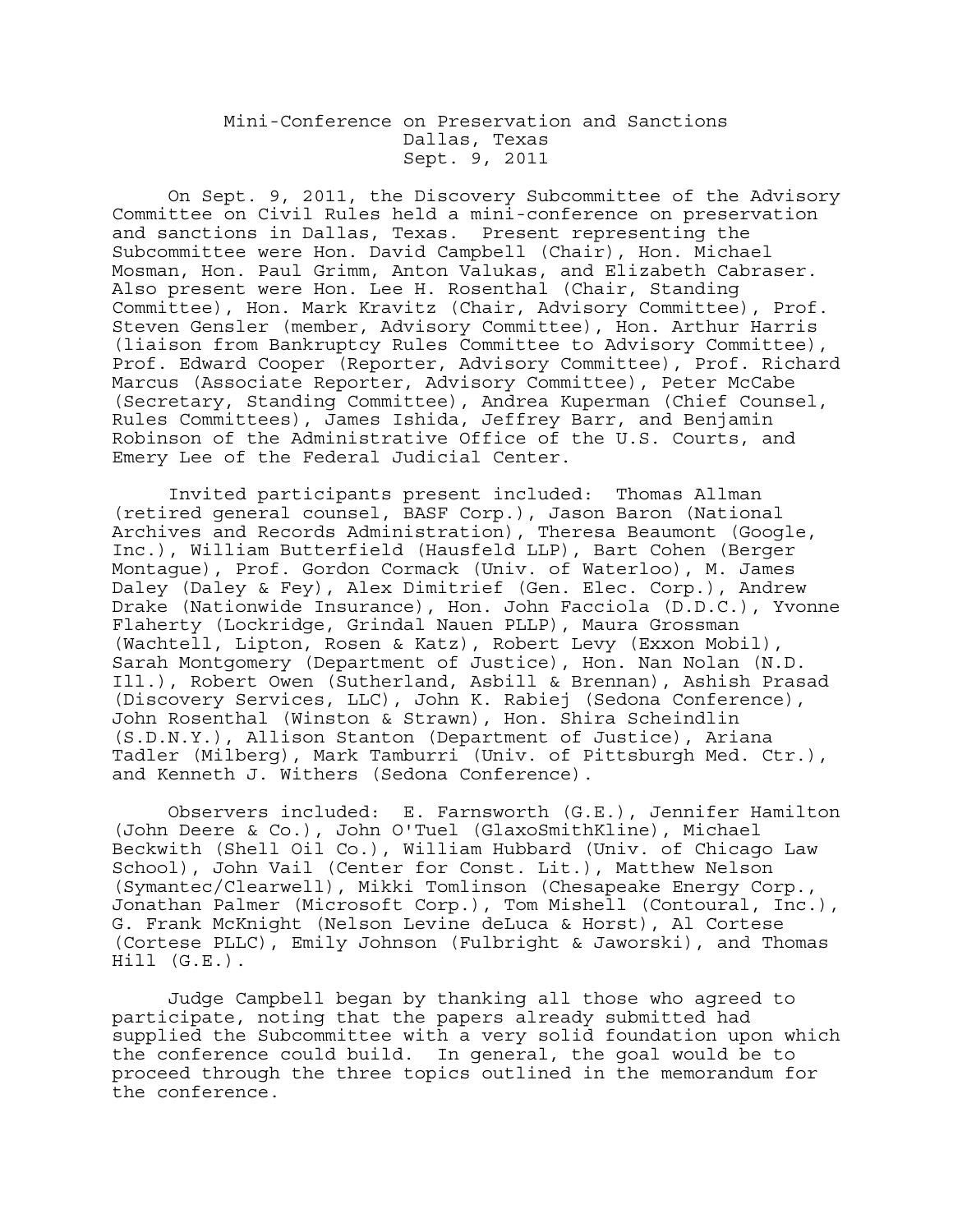## Mini-Conference on Preservation and Sanctions Dallas, Texas Sept. 9, 2011

On Sept. 9, 2011, the Discovery Subcommittee of the Advisory Committee on Civil Rules held a mini-conference on preservation and sanctions in Dallas, Texas. Present representing the Subcommittee were Hon. David Campbell (Chair), Hon. Michael Mosman, Hon. Paul Grimm, Anton Valukas, and Elizabeth Cabraser. Also present were Hon. Lee H. Rosenthal (Chair, Standing Committee), Hon. Mark Kravitz (Chair, Advisory Committee), Prof. Steven Gensler (member, Advisory Committee), Hon. Arthur Harris (liaison from Bankruptcy Rules Committee to Advisory Committee), Prof. Edward Cooper (Reporter, Advisory Committee), Prof. Richard Marcus (Associate Reporter, Advisory Committee), Peter McCabe (Secretary, Standing Committee), Andrea Kuperman (Chief Counsel, Rules Committees), James Ishida, Jeffrey Barr, and Benjamin Robinson of the Administrative Office of the U.S. Courts, and Emery Lee of the Federal Judicial Center.

Invited participants present included: Thomas Allman (retired general counsel, BASF Corp.), Jason Baron (National Archives and Records Administration), Theresa Beaumont (Google, Inc.), William Butterfield (Hausfeld LLP), Bart Cohen (Berger Montague), Prof. Gordon Cormack (Univ. of Waterloo), M. James Daley (Daley & Fey), Alex Dimitrief (Gen. Elec. Corp.), Andrew Drake (Nationwide Insurance), Hon. John Facciola (D.D.C.), Yvonne Flaherty (Lockridge, Grindal Nauen PLLP), Maura Grossman (Wachtell, Lipton, Rosen & Katz), Robert Levy (Exxon Mobil), Sarah Montgomery (Department of Justice), Hon. Nan Nolan (N.D. Ill.), Robert Owen (Sutherland, Asbill & Brennan), Ashish Prasad (Discovery Services, LLC), John K. Rabiej (Sedona Conference), John Rosenthal (Winston & Strawn), Hon. Shira Scheindlin (S.D.N.Y.), Allison Stanton (Department of Justice), Ariana Tadler (Milberg), Mark Tamburri (Univ. of Pittsburgh Med. Ctr.), and Kenneth J. Withers (Sedona Conference).

Observers included: E. Farnsworth (G.E.), Jennifer Hamilton (John Deere & Co.), John O'Tuel (GlaxoSmithKline), Michael Beckwith (Shell Oil Co.), William Hubbard (Univ. of Chicago Law School), John Vail (Center for Const. Lit.), Matthew Nelson (Symantec/Clearwell), Mikki Tomlinson (Chesapeake Energy Corp., Jonathan Palmer (Microsoft Corp.), Tom Mishell (Contoural, Inc.), G. Frank McKnight (Nelson Levine deLuca & Horst), Al Cortese (Cortese PLLC), Emily Johnson (Fulbright & Jaworski), and Thomas Hill (G.E.).

Judge Campbell began by thanking all those who agreed to participate, noting that the papers already submitted had supplied the Subcommittee with a very solid foundation upon which the conference could build. In general, the goal would be to proceed through the three topics outlined in the memorandum for the conference.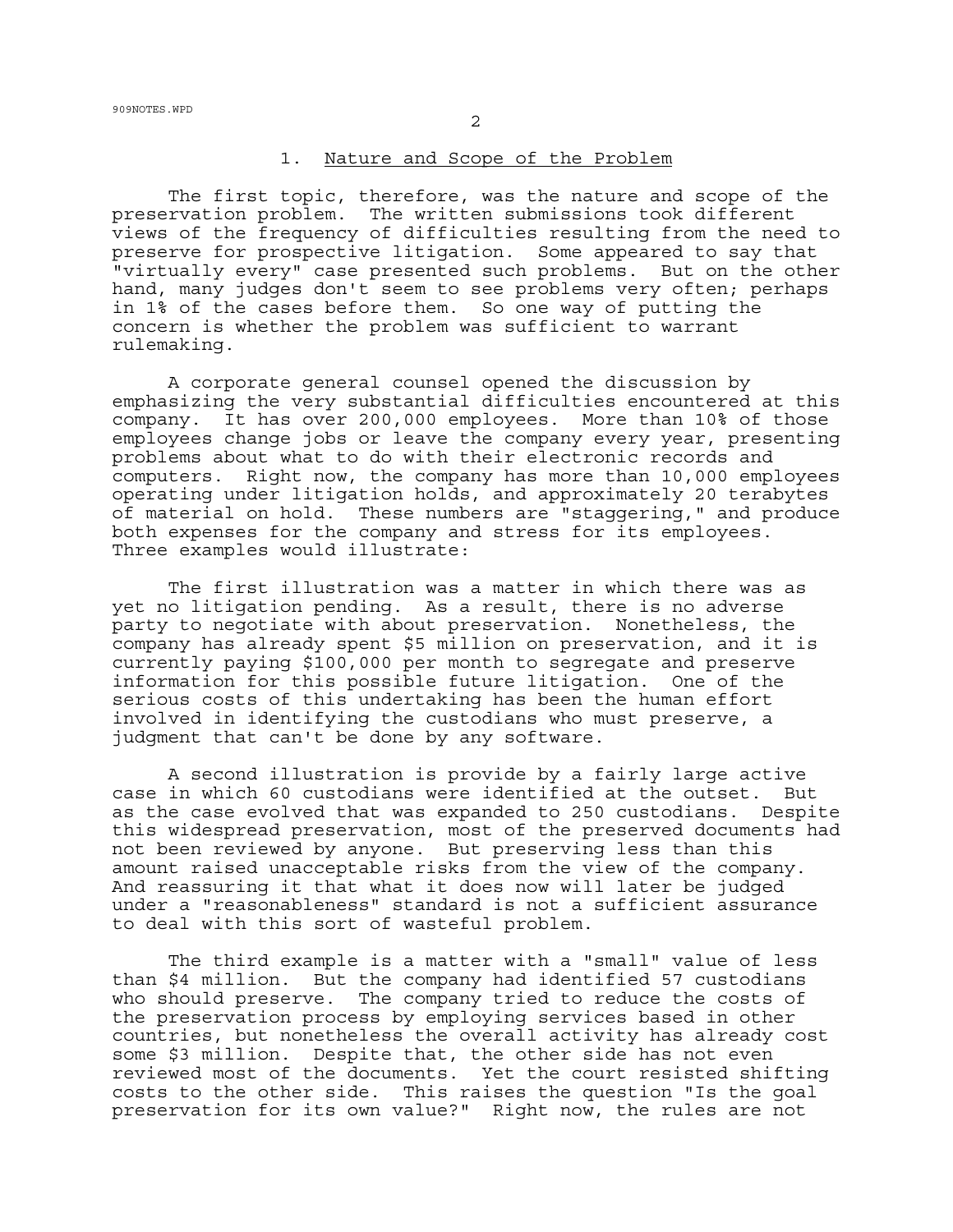## 1. Nature and Scope of the Problem

The first topic, therefore, was the nature and scope of the preservation problem. The written submissions took different views of the frequency of difficulties resulting from the need to preserve for prospective litigation. Some appeared to say that "virtually every" case presented such problems. But on the other hand, many judges don't seem to see problems very often; perhaps in 1% of the cases before them. So one way of putting the concern is whether the problem was sufficient to warrant rulemaking.

A corporate general counsel opened the discussion by emphasizing the very substantial difficulties encountered at this company. It has over 200,000 employees. More than 10% of those employees change jobs or leave the company every year, presenting problems about what to do with their electronic records and computers. Right now, the company has more than 10,000 employees operating under litigation holds, and approximately 20 terabytes of material on hold. These numbers are "staggering," and produce both expenses for the company and stress for its employees. Three examples would illustrate:

The first illustration was a matter in which there was as yet no litigation pending. As a result, there is no adverse party to negotiate with about preservation. Nonetheless, the company has already spent \$5 million on preservation, and it is currently paying \$100,000 per month to segregate and preserve information for this possible future litigation. One of the serious costs of this undertaking has been the human effort involved in identifying the custodians who must preserve, a judgment that can't be done by any software.

A second illustration is provide by a fairly large active case in which 60 custodians were identified at the outset. But as the case evolved that was expanded to 250 custodians. Despite this widespread preservation, most of the preserved documents had not been reviewed by anyone. But preserving less than this amount raised unacceptable risks from the view of the company. And reassuring it that what it does now will later be judged under a "reasonableness" standard is not a sufficient assurance to deal with this sort of wasteful problem.

The third example is a matter with a "small" value of less than \$4 million. But the company had identified 57 custodians who should preserve. The company tried to reduce the costs of the preservation process by employing services based in other countries, but nonetheless the overall activity has already cost some \$3 million. Despite that, the other side has not even reviewed most of the documents. Yet the court resisted shifting costs to the other side. This raises the question "Is the goal preservation for its own value?" Right now, the rules are not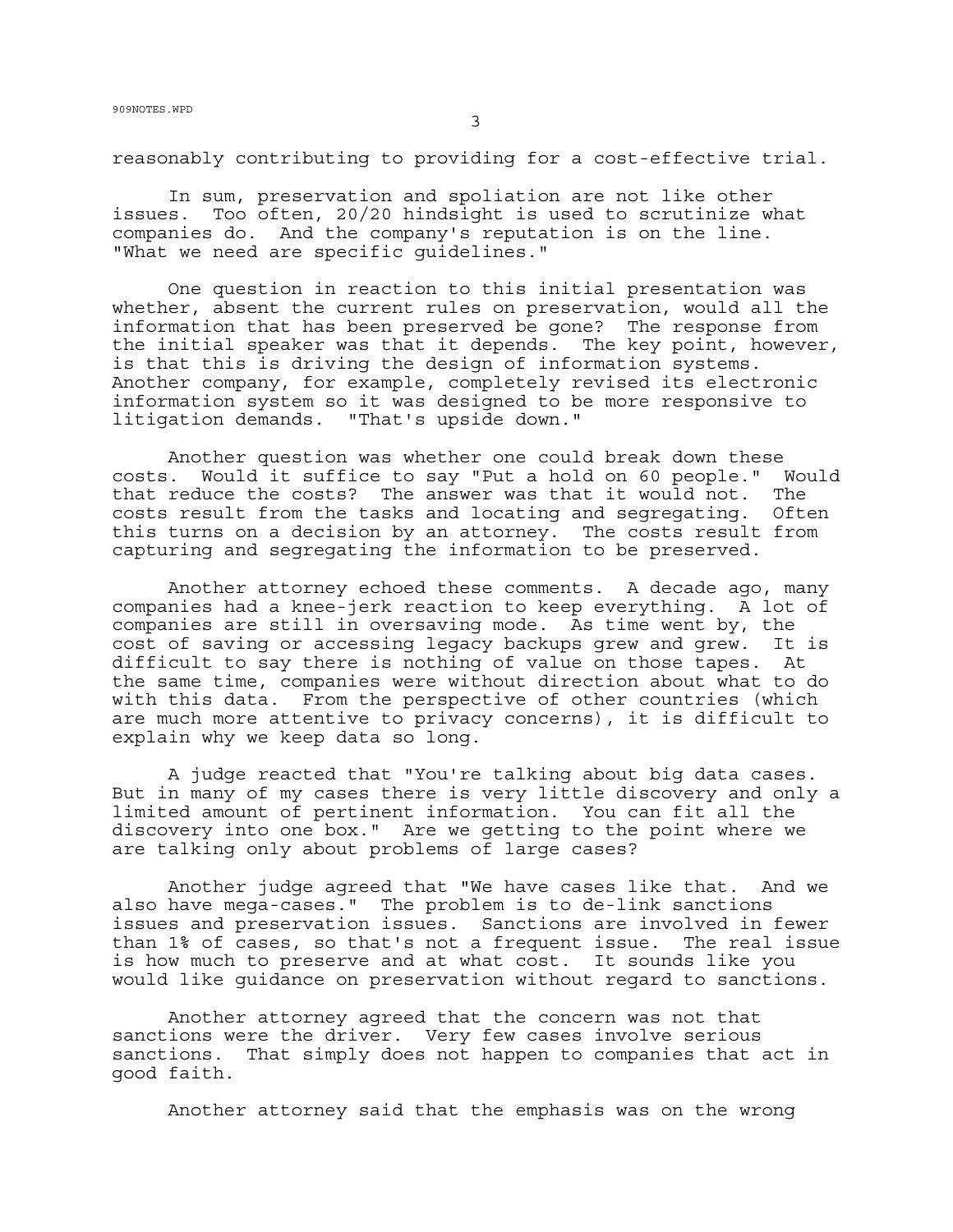reasonably contributing to providing for a cost-effective trial.

In sum, preservation and spoliation are not like other issues. Too often, 20/20 hindsight is used to scrutinize what companies do. And the company's reputation is on the line. "What we need are specific guidelines."

One question in reaction to this initial presentation was whether, absent the current rules on preservation, would all the information that has been preserved be gone? The response from the initial speaker was that it depends. The key point, however, is that this is driving the design of information systems. Another company, for example, completely revised its electronic information system so it was designed to be more responsive to litigation demands. "That's upside down."

Another question was whether one could break down these costs. Would it suffice to say "Put a hold on 60 people." Would that reduce the costs? The answer was that it would not. The costs result from the tasks and locating and segregating. Often this turns on a decision by an attorney. The costs result from capturing and segregating the information to be preserved.

Another attorney echoed these comments. A decade ago, many companies had a knee-jerk reaction to keep everything. A lot of companies are still in oversaving mode. As time went by, the cost of saving or accessing legacy backups grew and grew. It is difficult to say there is nothing of value on those tapes. At the same time, companies were without direction about what to do with this data. From the perspective of other countries (which are much more attentive to privacy concerns), it is difficult to explain why we keep data so long.

A judge reacted that "You're talking about big data cases. But in many of my cases there is very little discovery and only a limited amount of pertinent information. You can fit all the discovery into one box." Are we getting to the point where we are talking only about problems of large cases?

Another judge agreed that "We have cases like that. And we also have mega-cases." The problem is to de-link sanctions issues and preservation issues. Sanctions are involved in fewer than 1% of cases, so that's not a frequent issue. The real issue is how much to preserve and at what cost. It sounds like you would like guidance on preservation without regard to sanctions.

Another attorney agreed that the concern was not that sanctions were the driver. Very few cases involve serious sanctions. That simply does not happen to companies that act in good faith.

Another attorney said that the emphasis was on the wrong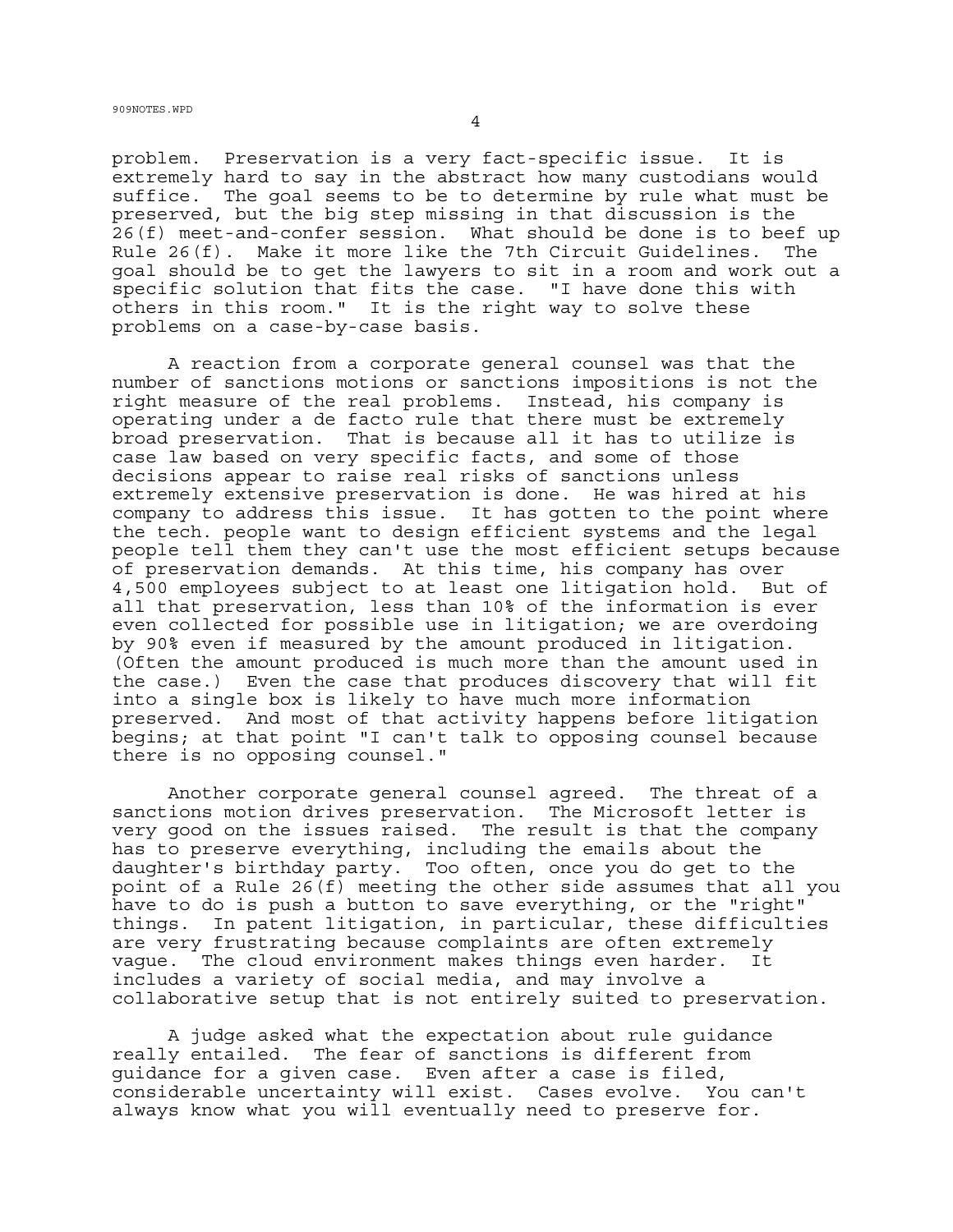problem. Preservation is a very fact-specific issue. It is extremely hard to say in the abstract how many custodians would suffice. The goal seems to be to determine by rule what must be preserved, but the big step missing in that discussion is the 26(f) meet-and-confer session. What should be done is to beef up Rule 26(f). Make it more like the 7th Circuit Guidelines. The goal should be to get the lawyers to sit in a room and work out a specific solution that fits the case. "I have done this with others in this room." It is the right way to solve these problems on a case-by-case basis.

A reaction from a corporate general counsel was that the number of sanctions motions or sanctions impositions is not the right measure of the real problems. Instead, his company is operating under a de facto rule that there must be extremely broad preservation. That is because all it has to utilize is case law based on very specific facts, and some of those decisions appear to raise real risks of sanctions unless extremely extensive preservation is done. He was hired at his company to address this issue. It has gotten to the point where the tech. people want to design efficient systems and the legal people tell them they can't use the most efficient setups because of preservation demands. At this time, his company has over 4,500 employees subject to at least one litigation hold. But of all that preservation, less than 10% of the information is ever even collected for possible use in litigation; we are overdoing by 90% even if measured by the amount produced in litigation. (Often the amount produced is much more than the amount used in the case.) Even the case that produces discovery that will fit into a single box is likely to have much more information preserved. And most of that activity happens before litigation begins; at that point "I can't talk to opposing counsel because there is no opposing counsel."

Another corporate general counsel agreed. The threat of a sanctions motion drives preservation. The Microsoft letter is very good on the issues raised. The result is that the company has to preserve everything, including the emails about the daughter's birthday party. Too often, once you do get to the point of a Rule 26(f) meeting the other side assumes that all you have to do is push a button to save everything, or the "right" things. In patent litigation, in particular, these difficulties are very frustrating because complaints are often extremely vague. The cloud environment makes things even harder. It includes a variety of social media, and may involve a collaborative setup that is not entirely suited to preservation.

A judge asked what the expectation about rule guidance really entailed. The fear of sanctions is different from guidance for a given case. Even after a case is filed, considerable uncertainty will exist. Cases evolve. You can't always know what you will eventually need to preserve for.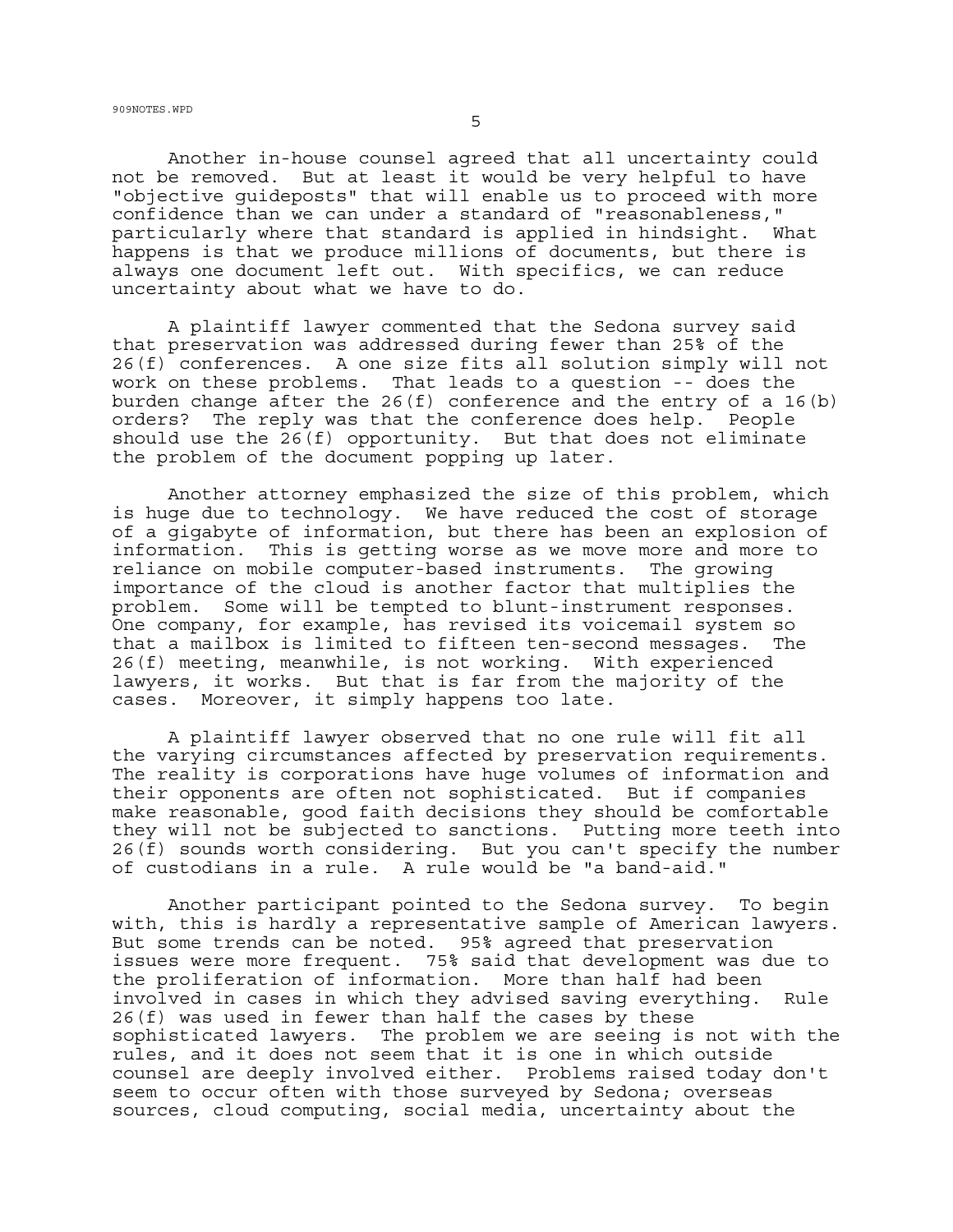Another in-house counsel agreed that all uncertainty could not be removed. But at least it would be very helpful to have "objective guideposts" that will enable us to proceed with more confidence than we can under a standard of "reasonableness," particularly where that standard is applied in hindsight. What happens is that we produce millions of documents, but there is always one document left out. With specifics, we can reduce uncertainty about what we have to do.

A plaintiff lawyer commented that the Sedona survey said that preservation was addressed during fewer than 25% of the 26(f) conferences. A one size fits all solution simply will not work on these problems. That leads to a question -- does the burden change after the 26(f) conference and the entry of a 16(b) orders? The reply was that the conference does help. People should use the  $26(f)$  opportunity. But that does not eliminate the problem of the document popping up later.

Another attorney emphasized the size of this problem, which is huge due to technology. We have reduced the cost of storage of a gigabyte of information, but there has been an explosion of information. This is getting worse as we move more and more to reliance on mobile computer-based instruments. The growing importance of the cloud is another factor that multiplies the problem. Some will be tempted to blunt-instrument responses. One company, for example, has revised its voicemail system so that a mailbox is limited to fifteen ten-second messages. The 26(f) meeting, meanwhile, is not working. With experienced lawyers, it works. But that is far from the majority of the cases. Moreover, it simply happens too late.

A plaintiff lawyer observed that no one rule will fit all the varying circumstances affected by preservation requirements. The reality is corporations have huge volumes of information and their opponents are often not sophisticated. But if companies make reasonable, good faith decisions they should be comfortable they will not be subjected to sanctions. Putting more teeth into 26(f) sounds worth considering. But you can't specify the number of custodians in a rule. A rule would be "a band-aid."

Another participant pointed to the Sedona survey. To begin with, this is hardly a representative sample of American lawyers. But some trends can be noted. 95% agreed that preservation issues were more frequent. 75% said that development was due to the proliferation of information. More than half had been involved in cases in which they advised saving everything. Rule 26(f) was used in fewer than half the cases by these sophisticated lawyers. The problem we are seeing is not with the rules, and it does not seem that it is one in which outside counsel are deeply involved either. Problems raised today don't seem to occur often with those surveyed by Sedona; overseas sources, cloud computing, social media, uncertainty about the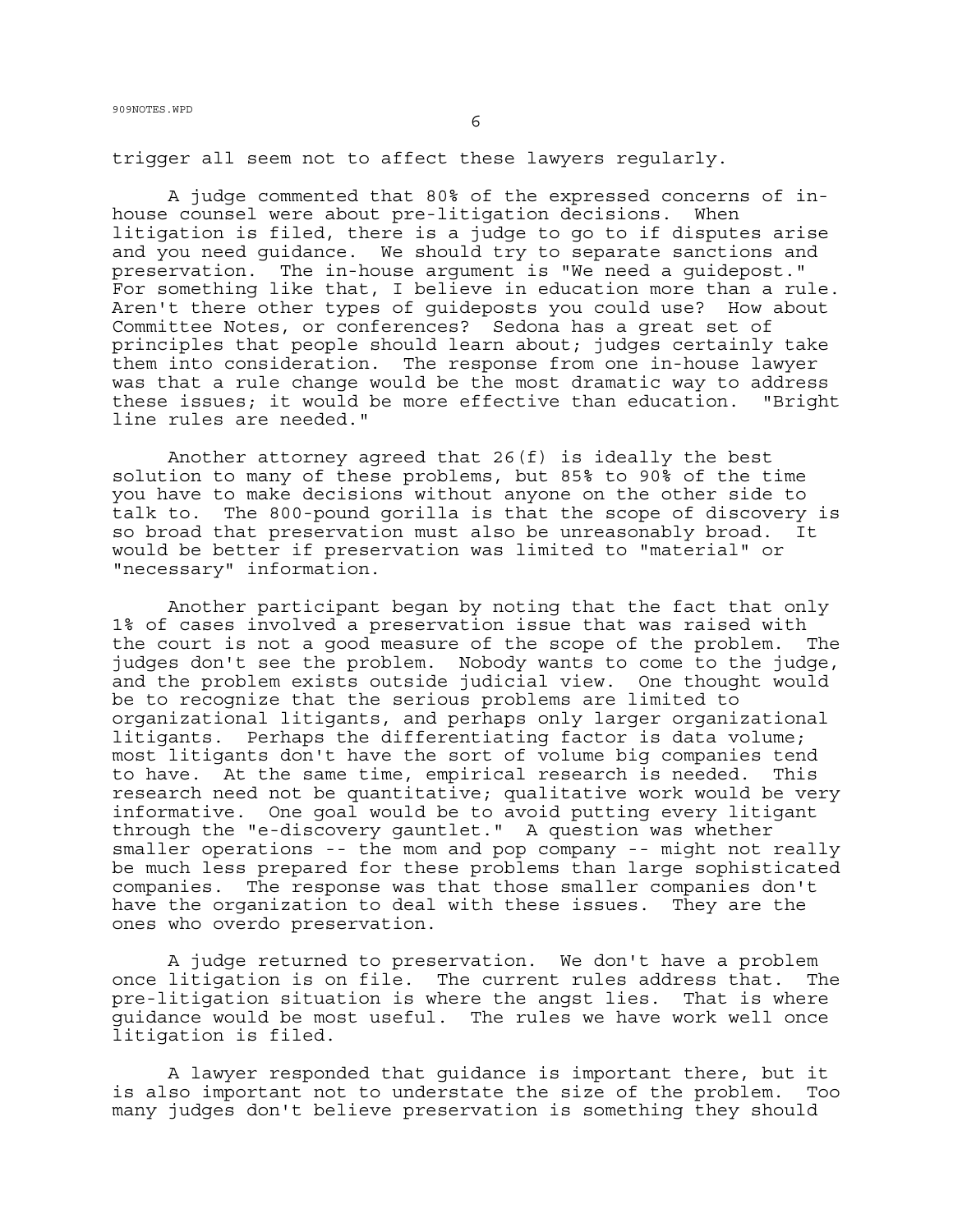trigger all seem not to affect these lawyers regularly.

A judge commented that 80% of the expressed concerns of inhouse counsel were about pre-litigation decisions. When litigation is filed, there is a judge to go to if disputes arise and you need guidance. We should try to separate sanctions and preservation. The in-house argument is "We need a guidepost." For something like that, I believe in education more than a rule. Aren't there other types of guideposts you could use? How about Committee Notes, or conferences? Sedona has a great set of principles that people should learn about; judges certainly take them into consideration. The response from one in-house lawyer was that a rule change would be the most dramatic way to address these issues; it would be more effective than education. "Bright line rules are needed."

Another attorney agreed that 26(f) is ideally the best solution to many of these problems, but 85% to 90% of the time you have to make decisions without anyone on the other side to talk to. The 800-pound gorilla is that the scope of discovery is so broad that preservation must also be unreasonably broad. It would be better if preservation was limited to "material" or "necessary" information.

Another participant began by noting that the fact that only 1% of cases involved a preservation issue that was raised with the court is not a good measure of the scope of the problem. The judges don't see the problem. Nobody wants to come to the judge, and the problem exists outside judicial view. One thought would be to recognize that the serious problems are limited to organizational litigants, and perhaps only larger organizational litigants. Perhaps the differentiating factor is data volume; most litigants don't have the sort of volume big companies tend to have. At the same time, empirical research is needed. This research need not be quantitative; qualitative work would be very informative. One goal would be to avoid putting every litigant through the "e-discovery gauntlet." A question was whether smaller operations -- the mom and pop company -- might not really be much less prepared for these problems than large sophisticated companies. The response was that those smaller companies don't have the organization to deal with these issues. They are the ones who overdo preservation.

A judge returned to preservation. We don't have a problem once litigation is on file. The current rules address that. The pre-litigation situation is where the angst lies. That is where guidance would be most useful. The rules we have work well once litigation is filed.

A lawyer responded that guidance is important there, but it is also important not to understate the size of the problem. Too many judges don't believe preservation is something they should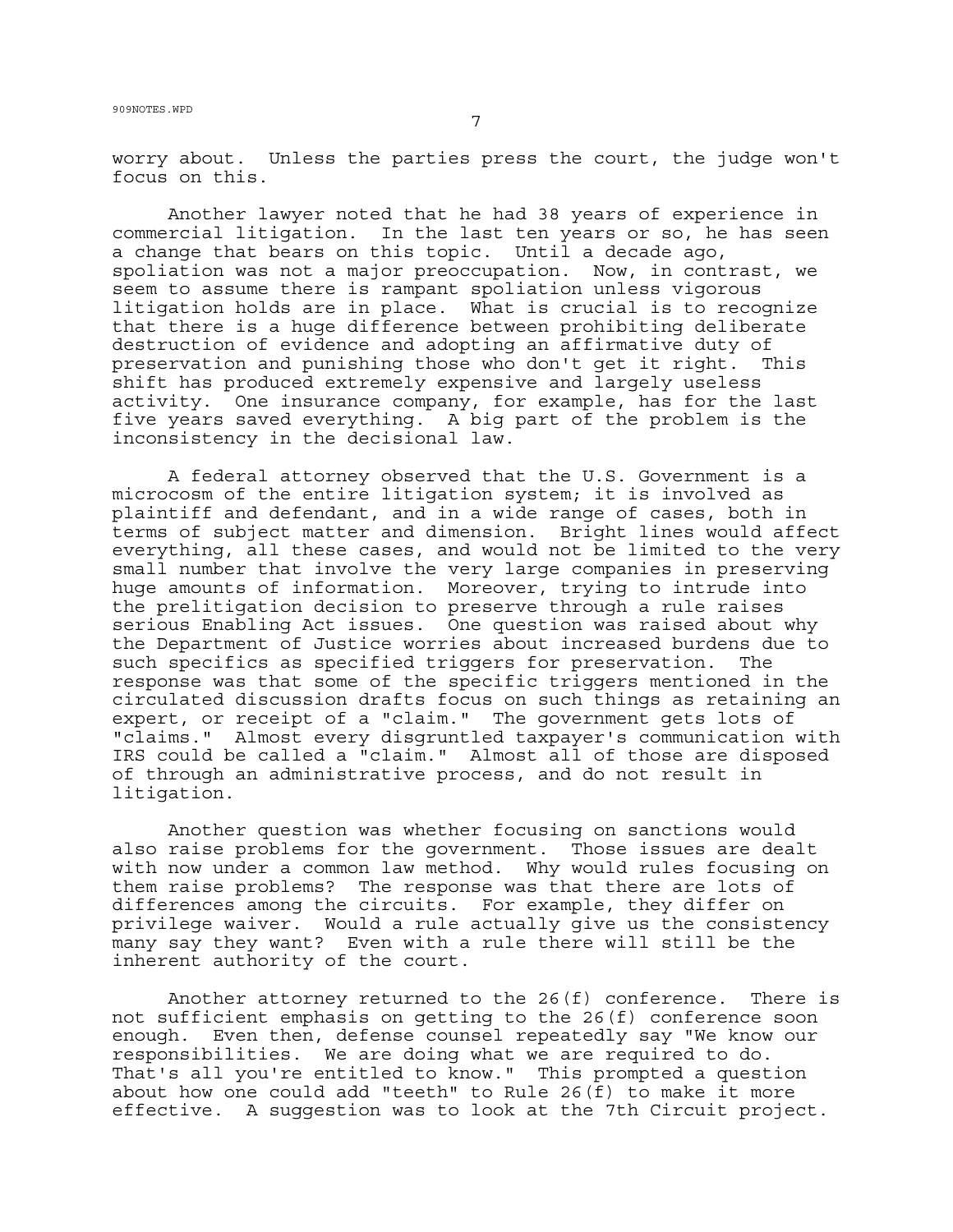worry about. Unless the parties press the court, the judge won't focus on this.

Another lawyer noted that he had 38 years of experience in commercial litigation. In the last ten years or so, he has seen a change that bears on this topic. Until a decade ago, spoliation was not a major preoccupation. Now, in contrast, we seem to assume there is rampant spoliation unless vigorous litigation holds are in place. What is crucial is to recognize that there is a huge difference between prohibiting deliberate destruction of evidence and adopting an affirmative duty of preservation and punishing those who don't get it right. This shift has produced extremely expensive and largely useless activity. One insurance company, for example, has for the last five years saved everything. A big part of the problem is the inconsistency in the decisional law.

A federal attorney observed that the U.S. Government is a microcosm of the entire litigation system; it is involved as plaintiff and defendant, and in a wide range of cases, both in terms of subject matter and dimension. Bright lines would affect everything, all these cases, and would not be limited to the very small number that involve the very large companies in preserving huge amounts of information. Moreover, trying to intrude into the prelitigation decision to preserve through a rule raises serious Enabling Act issues. One question was raised about why the Department of Justice worries about increased burdens due to such specifics as specified triggers for preservation. The response was that some of the specific triggers mentioned in the circulated discussion drafts focus on such things as retaining an expert, or receipt of a "claim." The government gets lots of "claims." Almost every disgruntled taxpayer's communication with IRS could be called a "claim." Almost all of those are disposed of through an administrative process, and do not result in litigation.

Another question was whether focusing on sanctions would also raise problems for the government. Those issues are dealt with now under a common law method. Why would rules focusing on them raise problems? The response was that there are lots of differences among the circuits. For example, they differ on privilege waiver. Would a rule actually give us the consistency many say they want? Even with a rule there will still be the inherent authority of the court.

Another attorney returned to the 26(f) conference. There is not sufficient emphasis on getting to the 26(f) conference soon enough. Even then, defense counsel repeatedly say "We know our responsibilities. We are doing what we are required to do. That's all you're entitled to know." This prompted a question about how one could add "teeth" to Rule 26(f) to make it more effective. A suggestion was to look at the 7th Circuit project.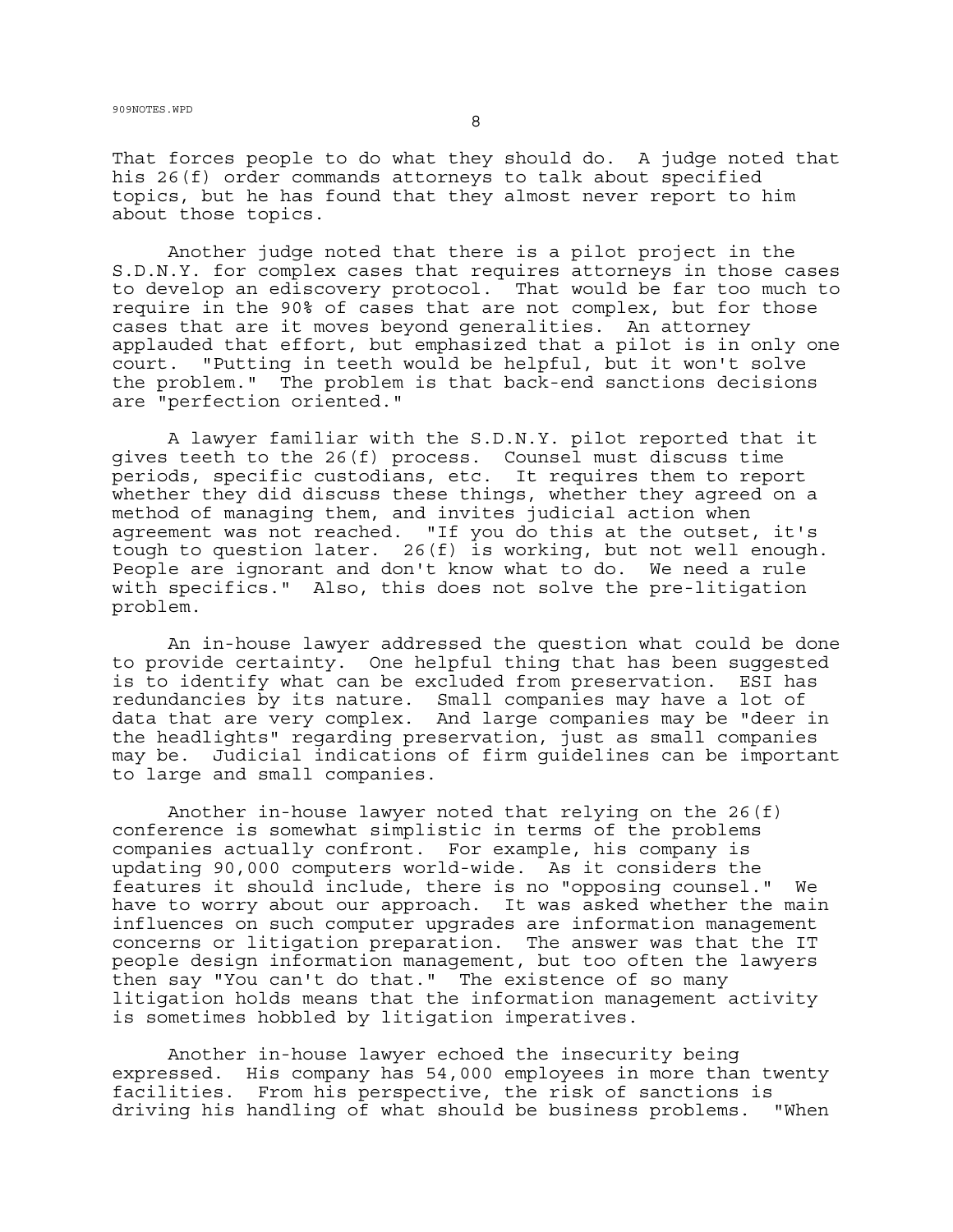That forces people to do what they should do. A judge noted that his 26(f) order commands attorneys to talk about specified topics, but he has found that they almost never report to him about those topics.

Another judge noted that there is a pilot project in the S.D.N.Y. for complex cases that requires attorneys in those cases to develop an ediscovery protocol. That would be far too much to require in the 90% of cases that are not complex, but for those cases that are it moves beyond generalities. An attorney applauded that effort, but emphasized that a pilot is in only one court. "Putting in teeth would be helpful, but it won't solve the problem." The problem is that back-end sanctions decisions are "perfection oriented."

A lawyer familiar with the S.D.N.Y. pilot reported that it gives teeth to the 26(f) process. Counsel must discuss time periods, specific custodians, etc. It requires them to report whether they did discuss these things, whether they agreed on a method of managing them, and invites judicial action when agreement was not reached. "If you do this at the outset, it's tough to question later. 26(f) is working, but not well enough. People are ignorant and don't know what to do. We need a rule with specifics." Also, this does not solve the pre-litigation problem.

An in-house lawyer addressed the question what could be done to provide certainty. One helpful thing that has been suggested is to identify what can be excluded from preservation. ESI has redundancies by its nature. Small companies may have a lot of data that are very complex. And large companies may be "deer in the headlights" regarding preservation, just as small companies may be. Judicial indications of firm guidelines can be important to large and small companies.

Another in-house lawyer noted that relying on the 26(f) conference is somewhat simplistic in terms of the problems companies actually confront. For example, his company is updating 90,000 computers world-wide. As it considers the features it should include, there is no "opposing counsel." We have to worry about our approach. It was asked whether the main influences on such computer upgrades are information management concerns or litigation preparation. The answer was that the IT people design information management, but too often the lawyers then say "You can't do that." The existence of so many litigation holds means that the information management activity is sometimes hobbled by litigation imperatives.

Another in-house lawyer echoed the insecurity being expressed. His company has 54,000 employees in more than twenty facilities. From his perspective, the risk of sanctions is driving his handling of what should be business problems. "When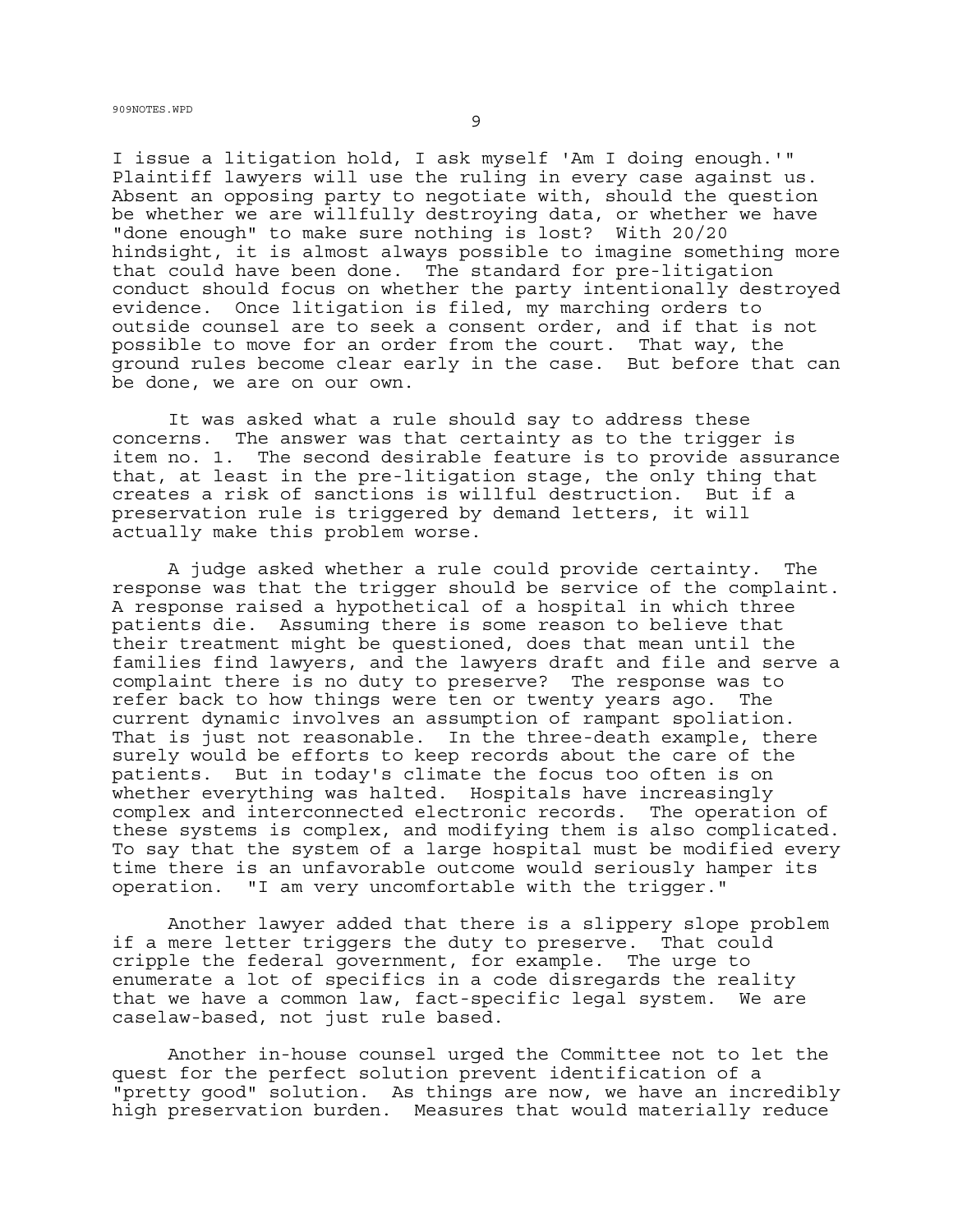I issue a litigation hold, I ask myself 'Am I doing enough.'" Plaintiff lawyers will use the ruling in every case against us. Absent an opposing party to negotiate with, should the question be whether we are willfully destroying data, or whether we have "done enough" to make sure nothing is lost? With 20/20 hindsight, it is almost always possible to imagine something more that could have been done. The standard for pre-litigation conduct should focus on whether the party intentionally destroyed evidence. Once litigation is filed, my marching orders to outside counsel are to seek a consent order, and if that is not possible to move for an order from the court. That way, the ground rules become clear early in the case. But before that can be done, we are on our own.

It was asked what a rule should say to address these concerns. The answer was that certainty as to the trigger is item no. 1. The second desirable feature is to provide assurance that, at least in the pre-litigation stage, the only thing that creates a risk of sanctions is willful destruction. But if a preservation rule is triggered by demand letters, it will actually make this problem worse.

A judge asked whether a rule could provide certainty. The response was that the trigger should be service of the complaint. A response raised a hypothetical of a hospital in which three patients die. Assuming there is some reason to believe that their treatment might be questioned, does that mean until the families find lawyers, and the lawyers draft and file and serve a complaint there is no duty to preserve? The response was to refer back to how things were ten or twenty years ago. The current dynamic involves an assumption of rampant spoliation. That is just not reasonable. In the three-death example, there surely would be efforts to keep records about the care of the patients. But in today's climate the focus too often is on whether everything was halted. Hospitals have increasingly complex and interconnected electronic records. The operation of these systems is complex, and modifying them is also complicated. To say that the system of a large hospital must be modified every time there is an unfavorable outcome would seriously hamper its operation. "I am very uncomfortable with the trigger."

Another lawyer added that there is a slippery slope problem if a mere letter triggers the duty to preserve. That could cripple the federal government, for example. The urge to enumerate a lot of specifics in a code disregards the reality that we have a common law, fact-specific legal system. We are caselaw-based, not just rule based.

Another in-house counsel urged the Committee not to let the quest for the perfect solution prevent identification of a "pretty good" solution. As things are now, we have an incredibly high preservation burden. Measures that would materially reduce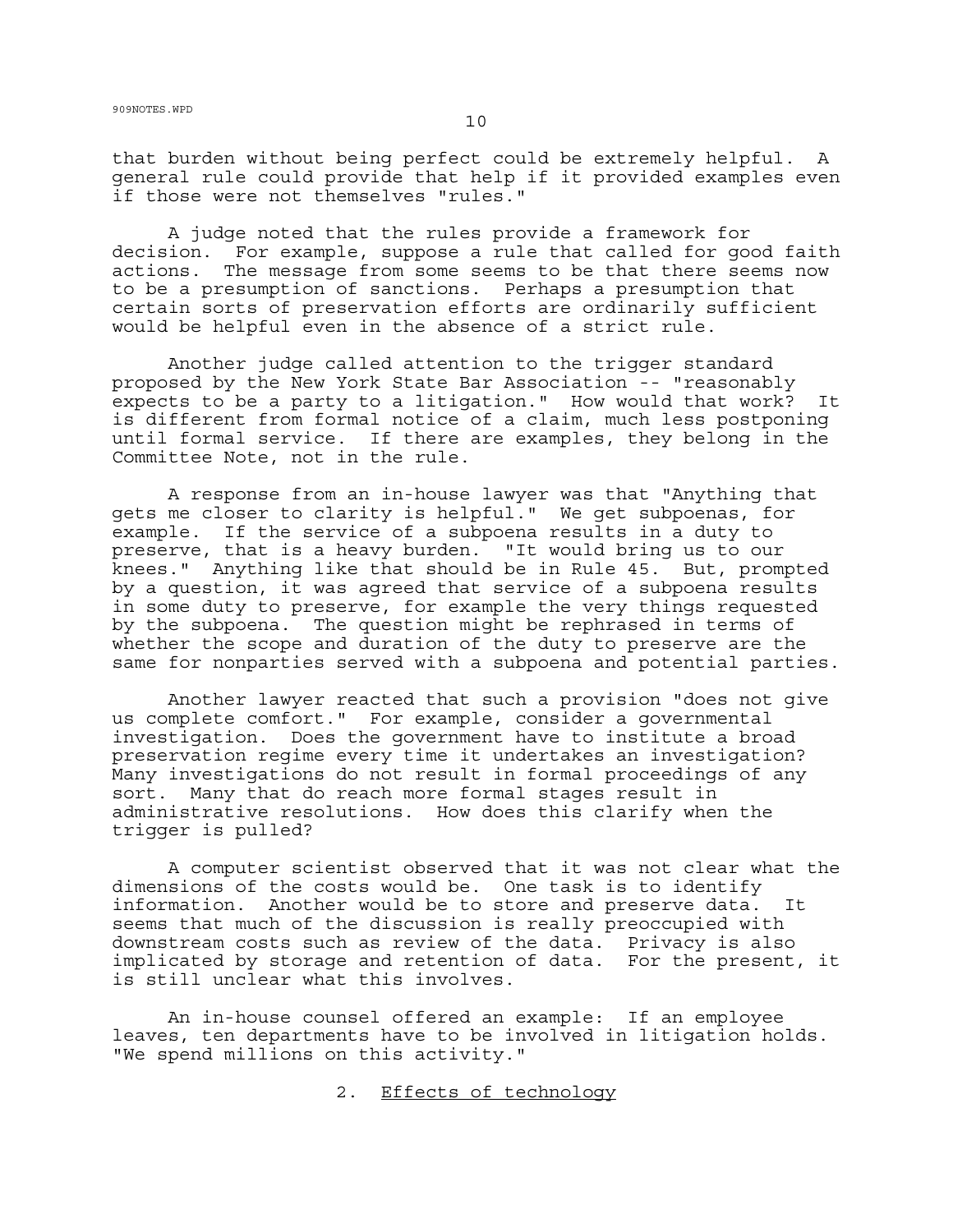that burden without being perfect could be extremely helpful. A general rule could provide that help if it provided examples even if those were not themselves "rules."

A judge noted that the rules provide a framework for decision. For example, suppose a rule that called for good faith actions. The message from some seems to be that there seems now to be a presumption of sanctions. Perhaps a presumption that certain sorts of preservation efforts are ordinarily sufficient would be helpful even in the absence of a strict rule.

Another judge called attention to the trigger standard proposed by the New York State Bar Association -- "reasonably expects to be a party to a litigation." How would that work? It is different from formal notice of a claim, much less postponing until formal service. If there are examples, they belong in the Committee Note, not in the rule.

A response from an in-house lawyer was that "Anything that gets me closer to clarity is helpful." We get subpoenas, for example. If the service of a subpoena results in a duty to preserve, that is a heavy burden. "It would bring us to our knees." Anything like that should be in Rule 45. But, prompted by a question, it was agreed that service of a subpoena results in some duty to preserve, for example the very things requested by the subpoena. The question might be rephrased in terms of whether the scope and duration of the duty to preserve are the same for nonparties served with a subpoena and potential parties.

Another lawyer reacted that such a provision "does not give us complete comfort." For example, consider a governmental investigation. Does the government have to institute a broad preservation regime every time it undertakes an investigation? Many investigations do not result in formal proceedings of any sort. Many that do reach more formal stages result in administrative resolutions. How does this clarify when the trigger is pulled?

A computer scientist observed that it was not clear what the dimensions of the costs would be. One task is to identify information. Another would be to store and preserve data. It seems that much of the discussion is really preoccupied with downstream costs such as review of the data. Privacy is also implicated by storage and retention of data. For the present, it is still unclear what this involves.

An in-house counsel offered an example: If an employee leaves, ten departments have to be involved in litigation holds. "We spend millions on this activity."

2. Effects of technology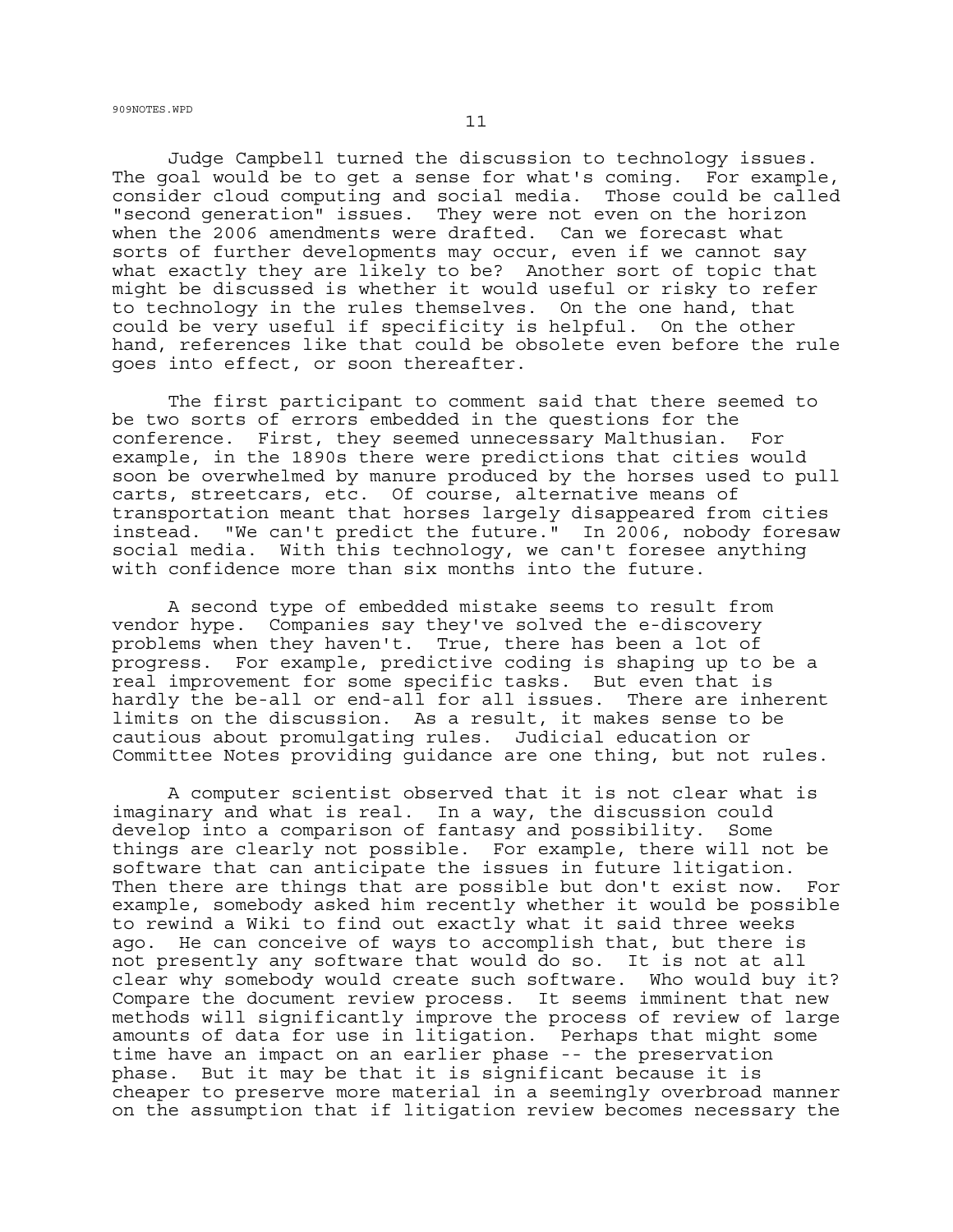909NOTES.WPD  $11$ 

Judge Campbell turned the discussion to technology issues. The goal would be to get a sense for what's coming. For example, consider cloud computing and social media. Those could be called "second generation" issues. They were not even on the horizon when the 2006 amendments were drafted. Can we forecast what sorts of further developments may occur, even if we cannot say what exactly they are likely to be? Another sort of topic that might be discussed is whether it would useful or risky to refer to technology in the rules themselves. On the one hand, that could be very useful if specificity is helpful. On the other hand, references like that could be obsolete even before the rule goes into effect, or soon thereafter.

The first participant to comment said that there seemed to be two sorts of errors embedded in the questions for the conference. First, they seemed unnecessary Malthusian. For example, in the 1890s there were predictions that cities would soon be overwhelmed by manure produced by the horses used to pull carts, streetcars, etc. Of course, alternative means of transportation meant that horses largely disappeared from cities instead. "We can't predict the future." In 2006, nobody foresaw social media. With this technology, we can't foresee anything with confidence more than six months into the future.

A second type of embedded mistake seems to result from vendor hype. Companies say they've solved the e-discovery problems when they haven't. True, there has been a lot of progress. For example, predictive coding is shaping up to be a real improvement for some specific tasks. But even that is hardly the be-all or end-all for all issues. There are inherent limits on the discussion. As a result, it makes sense to be cautious about promulgating rules. Judicial education or Committee Notes providing guidance are one thing, but not rules.

A computer scientist observed that it is not clear what is imaginary and what is real. In a way, the discussion could develop into a comparison of fantasy and possibility. Some things are clearly not possible. For example, there will not be software that can anticipate the issues in future litigation. Then there are things that are possible but don't exist now. For example, somebody asked him recently whether it would be possible to rewind a Wiki to find out exactly what it said three weeks ago. He can conceive of ways to accomplish that, but there is not presently any software that would do so. It is not at all clear why somebody would create such software. Who would buy it? Compare the document review process. It seems imminent that new methods will significantly improve the process of review of large amounts of data for use in litigation. Perhaps that might some time have an impact on an earlier phase -- the preservation phase. But it may be that it is significant because it is cheaper to preserve more material in a seemingly overbroad manner on the assumption that if litigation review becomes necessary the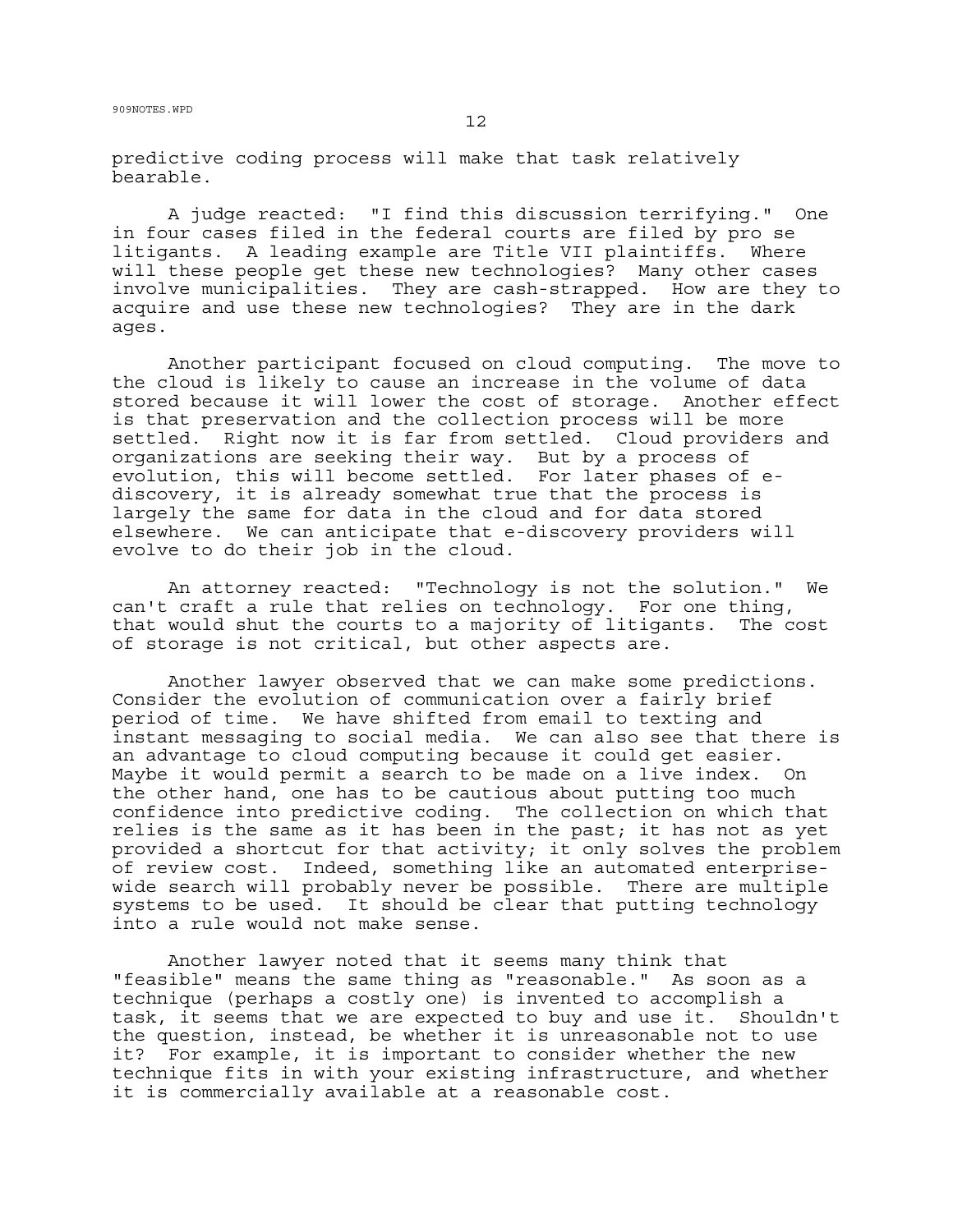predictive coding process will make that task relatively bearable.

A judge reacted: "I find this discussion terrifying." One in four cases filed in the federal courts are filed by pro se litigants. A leading example are Title VII plaintiffs. Where will these people get these new technologies? Many other cases involve municipalities. They are cash-strapped. How are they to acquire and use these new technologies? They are in the dark ages.

Another participant focused on cloud computing. The move to the cloud is likely to cause an increase in the volume of data stored because it will lower the cost of storage. Another effect is that preservation and the collection process will be more settled. Right now it is far from settled. Cloud providers and organizations are seeking their way. But by a process of evolution, this will become settled. For later phases of ediscovery, it is already somewhat true that the process is largely the same for data in the cloud and for data stored elsewhere. We can anticipate that e-discovery providers will evolve to do their job in the cloud.

An attorney reacted: "Technology is not the solution." We can't craft a rule that relies on technology. For one thing, that would shut the courts to a majority of litigants. The cost of storage is not critical, but other aspects are.

Another lawyer observed that we can make some predictions. Consider the evolution of communication over a fairly brief period of time. We have shifted from email to texting and instant messaging to social media. We can also see that there is an advantage to cloud computing because it could get easier. Maybe it would permit a search to be made on a live index. On the other hand, one has to be cautious about putting too much confidence into predictive coding. The collection on which that relies is the same as it has been in the past; it has not as yet provided a shortcut for that activity; it only solves the problem of review cost. Indeed, something like an automated enterprisewide search will probably never be possible. There are multiple systems to be used. It should be clear that putting technology into a rule would not make sense.

Another lawyer noted that it seems many think that "feasible" means the same thing as "reasonable." As soon as a technique (perhaps a costly one) is invented to accomplish a task, it seems that we are expected to buy and use it. Shouldn't the question, instead, be whether it is unreasonable not to use it? For example, it is important to consider whether the new technique fits in with your existing infrastructure, and whether it is commercially available at a reasonable cost.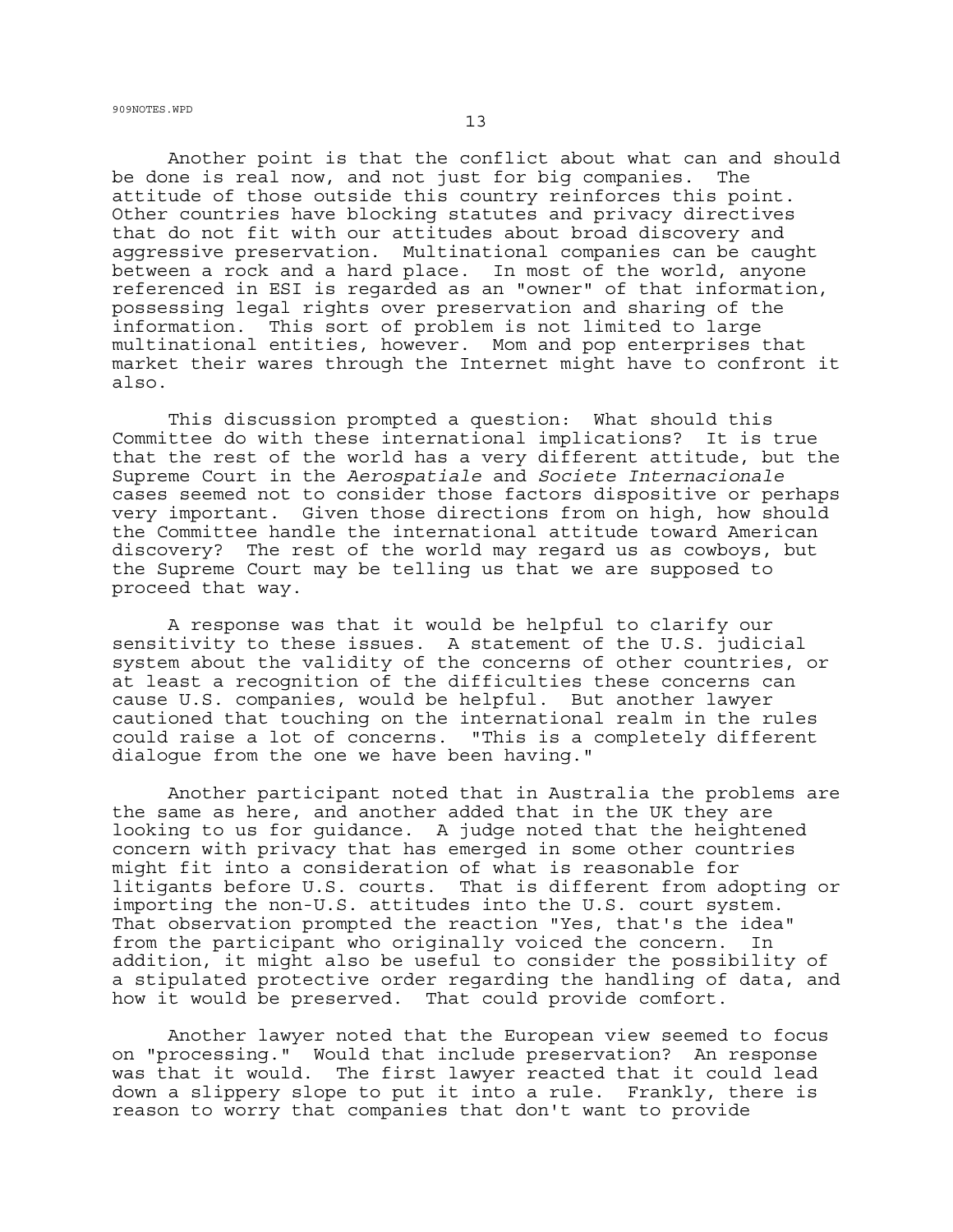<sup>13</sup> 909NOTES.WPD

Another point is that the conflict about what can and should be done is real now, and not just for big companies. The attitude of those outside this country reinforces this point. Other countries have blocking statutes and privacy directives that do not fit with our attitudes about broad discovery and aggressive preservation. Multinational companies can be caught between a rock and a hard place. In most of the world, anyone referenced in ESI is regarded as an "owner" of that information, possessing legal rights over preservation and sharing of the information. This sort of problem is not limited to large multinational entities, however. Mom and pop enterprises that market their wares through the Internet might have to confront it also.

This discussion prompted a question: What should this Committee do with these international implications? It is true that the rest of the world has a very different attitude, but the Supreme Court in the *Aerospatiale* and *Societe Internacionale* cases seemed not to consider those factors dispositive or perhaps very important. Given those directions from on high, how should the Committee handle the international attitude toward American discovery? The rest of the world may regard us as cowboys, but the Supreme Court may be telling us that we are supposed to proceed that way.

A response was that it would be helpful to clarify our sensitivity to these issues. A statement of the U.S. judicial system about the validity of the concerns of other countries, or at least a recognition of the difficulties these concerns can cause U.S. companies, would be helpful. But another lawyer cautioned that touching on the international realm in the rules could raise a lot of concerns. "This is a completely different dialogue from the one we have been having."

Another participant noted that in Australia the problems are the same as here, and another added that in the UK they are looking to us for guidance. A judge noted that the heightened concern with privacy that has emerged in some other countries might fit into a consideration of what is reasonable for litigants before U.S. courts. That is different from adopting or importing the non-U.S. attitudes into the U.S. court system. That observation prompted the reaction "Yes, that's the idea" from the participant who originally voiced the concern. In addition, it might also be useful to consider the possibility of a stipulated protective order regarding the handling of data, and how it would be preserved. That could provide comfort.

Another lawyer noted that the European view seemed to focus on "processing." Would that include preservation? An response was that it would. The first lawyer reacted that it could lead down a slippery slope to put it into a rule. Frankly, there is reason to worry that companies that don't want to provide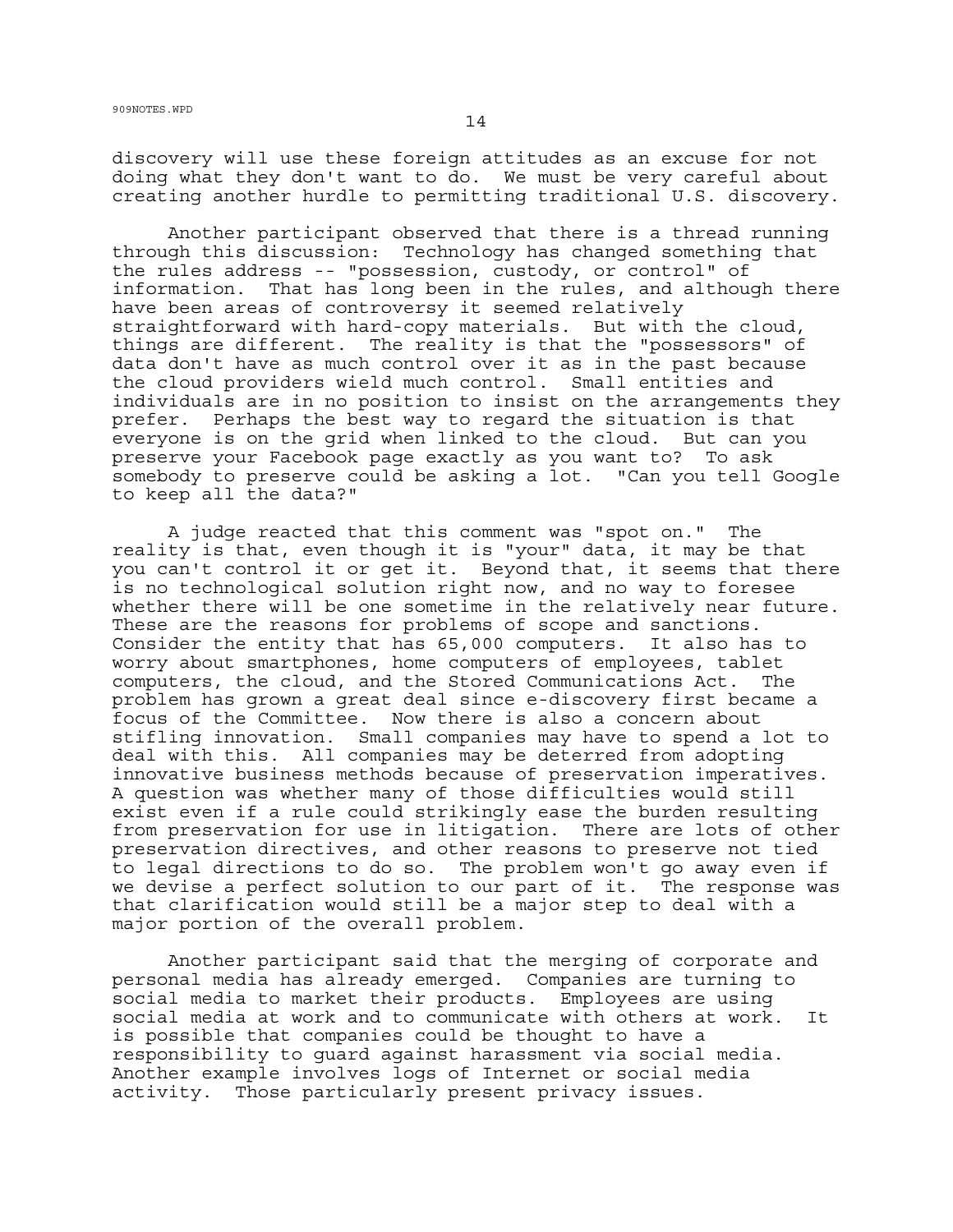discovery will use these foreign attitudes as an excuse for not doing what they don't want to do. We must be very careful about creating another hurdle to permitting traditional U.S. discovery.

Another participant observed that there is a thread running through this discussion: Technology has changed something that the rules address -- "possession, custody, or control" of information. That has long been in the rules, and although there have been areas of controversy it seemed relatively straightforward with hard-copy materials. But with the cloud, things are different. The reality is that the "possessors" of data don't have as much control over it as in the past because the cloud providers wield much control. Small entities and individuals are in no position to insist on the arrangements they prefer. Perhaps the best way to regard the situation is that everyone is on the grid when linked to the cloud. But can you preserve your Facebook page exactly as you want to? To ask somebody to preserve could be asking a lot. "Can you tell Google to keep all the data?"

A judge reacted that this comment was "spot on." The reality is that, even though it is "your" data, it may be that you can't control it or get it. Beyond that, it seems that there is no technological solution right now, and no way to foresee whether there will be one sometime in the relatively near future. These are the reasons for problems of scope and sanctions. Consider the entity that has 65,000 computers. It also has to worry about smartphones, home computers of employees, tablet computers, the cloud, and the Stored Communications Act. The problem has grown a great deal since e-discovery first became a focus of the Committee. Now there is also a concern about stifling innovation. Small companies may have to spend a lot to deal with this. All companies may be deterred from adopting innovative business methods because of preservation imperatives. A question was whether many of those difficulties would still exist even if a rule could strikingly ease the burden resulting from preservation for use in litigation. There are lots of other preservation directives, and other reasons to preserve not tied to legal directions to do so. The problem won't go away even if we devise a perfect solution to our part of it. The response was that clarification would still be a major step to deal with a major portion of the overall problem.

Another participant said that the merging of corporate and personal media has already emerged. Companies are turning to social media to market their products. Employees are using social media at work and to communicate with others at work. It is possible that companies could be thought to have a responsibility to guard against harassment via social media. Another example involves logs of Internet or social media activity. Those particularly present privacy issues.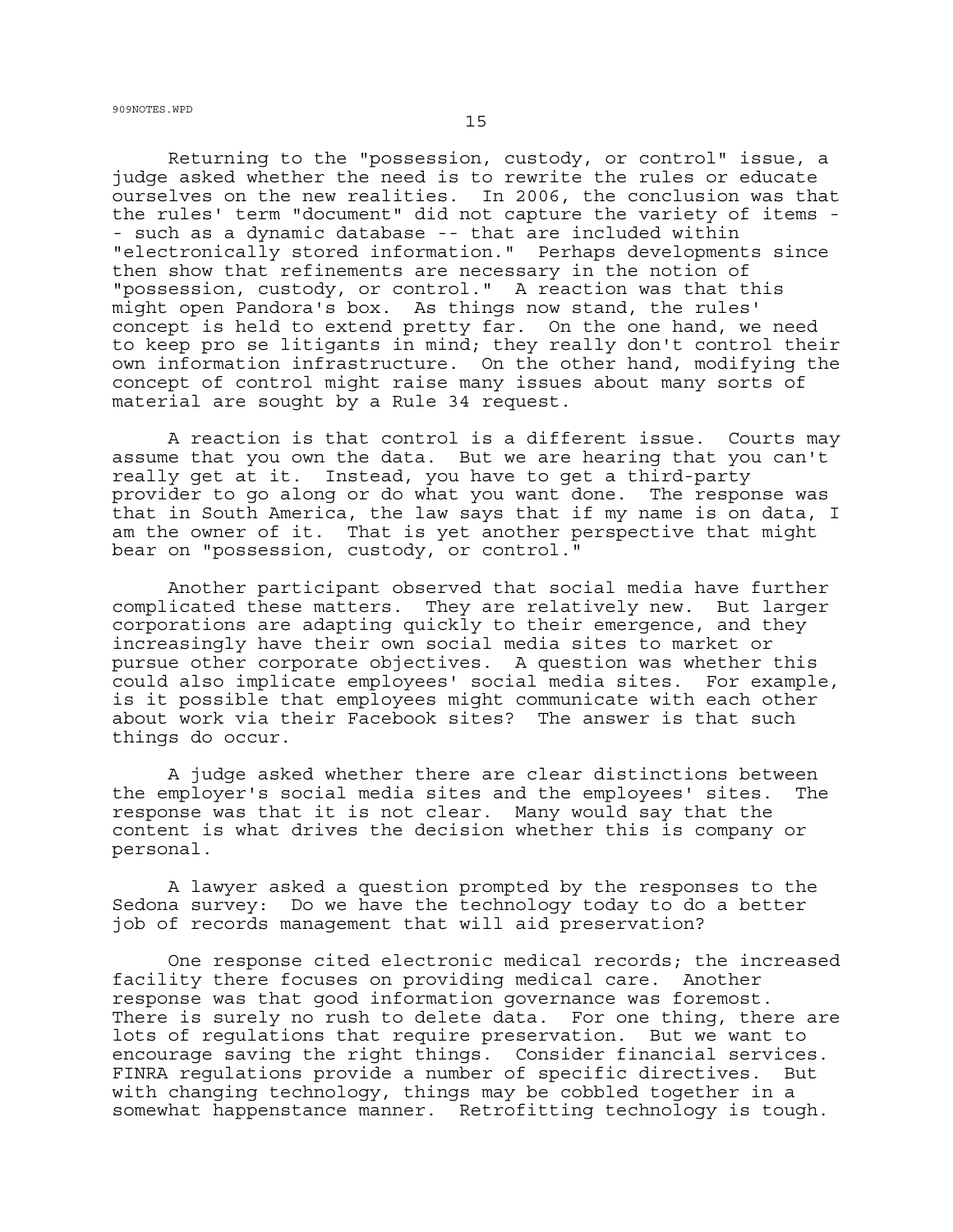Returning to the "possession, custody, or control" issue, a judge asked whether the need is to rewrite the rules or educate ourselves on the new realities. In 2006, the conclusion was that the rules' term "document" did not capture the variety of items - - such as a dynamic database -- that are included within "electronically stored information." Perhaps developments since then show that refinements are necessary in the notion of "possession, custody, or control." A reaction was that this might open Pandora's box. As things now stand, the rules' concept is held to extend pretty far. On the one hand, we need to keep pro se litigants in mind; they really don't control their own information infrastructure. On the other hand, modifying the concept of control might raise many issues about many sorts of material are sought by a Rule 34 request.

A reaction is that control is a different issue. Courts may assume that you own the data. But we are hearing that you can't really get at it. Instead, you have to get a third-party provider to go along or do what you want done. The response was that in South America, the law says that if my name is on data, I am the owner of it. That is yet another perspective that might bear on "possession, custody, or control."

Another participant observed that social media have further complicated these matters. They are relatively new. But larger corporations are adapting quickly to their emergence, and they increasingly have their own social media sites to market or pursue other corporate objectives. A question was whether this could also implicate employees' social media sites. For example, is it possible that employees might communicate with each other about work via their Facebook sites? The answer is that such things do occur.

A judge asked whether there are clear distinctions between the employer's social media sites and the employees' sites. The response was that it is not clear. Many would say that the content is what drives the decision whether this is company or personal.

A lawyer asked a question prompted by the responses to the Sedona survey: Do we have the technology today to do a better job of records management that will aid preservation?

One response cited electronic medical records; the increased facility there focuses on providing medical care. Another response was that good information governance was foremost. There is surely no rush to delete data. For one thing, there are lots of regulations that require preservation. But we want to encourage saving the right things. Consider financial services. FINRA regulations provide a number of specific directives. But with changing technology, things may be cobbled together in a somewhat happenstance manner. Retrofitting technology is tough.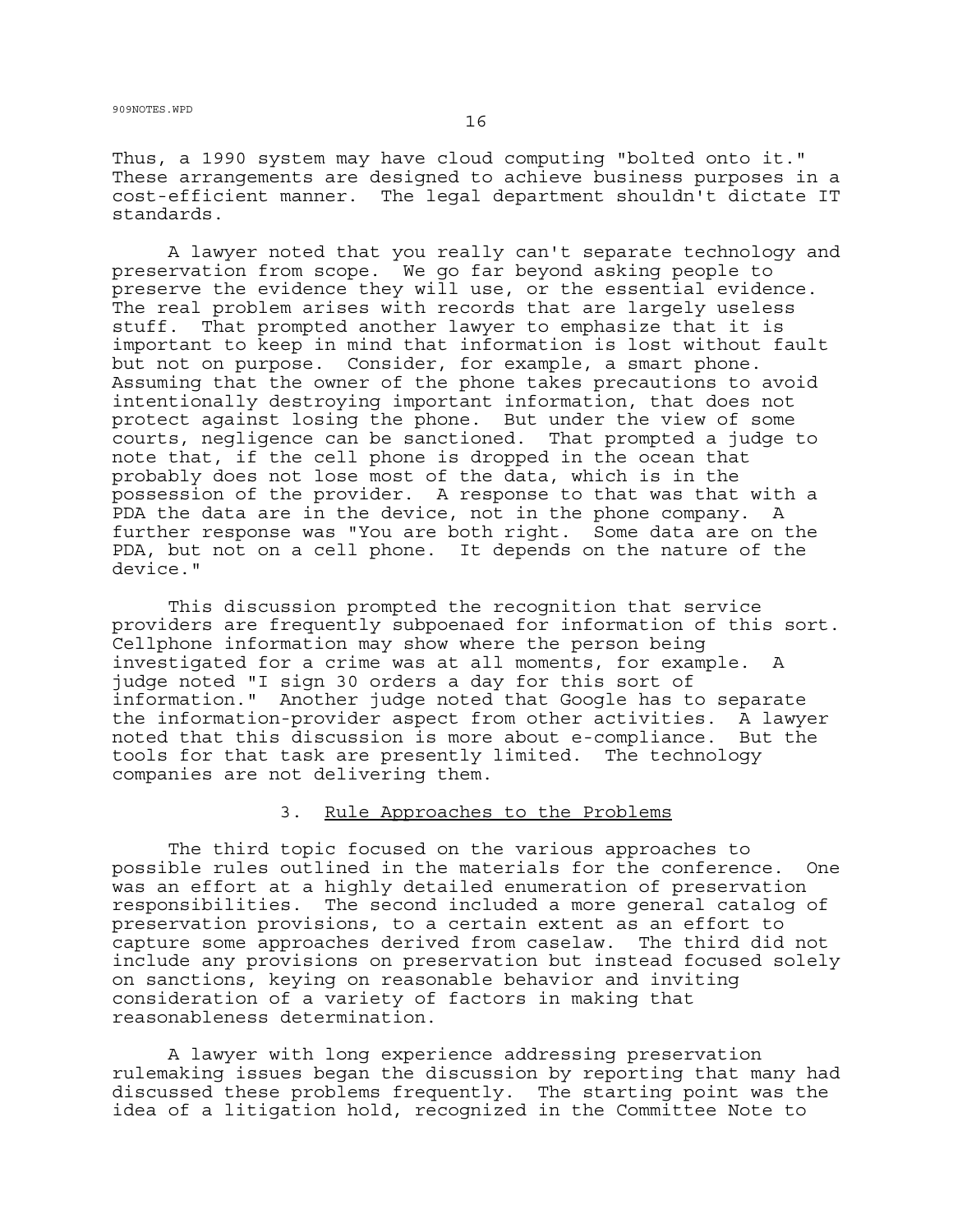Thus, a 1990 system may have cloud computing "bolted onto it." These arrangements are designed to achieve business purposes in a cost-efficient manner. The legal department shouldn't dictate IT standards.

A lawyer noted that you really can't separate technology and preservation from scope. We go far beyond asking people to preserve the evidence they will use, or the essential evidence. The real problem arises with records that are largely useless stuff. That prompted another lawyer to emphasize that it is important to keep in mind that information is lost without fault but not on purpose. Consider, for example, a smart phone. Assuming that the owner of the phone takes precautions to avoid intentionally destroying important information, that does not protect against losing the phone. But under the view of some courts, negligence can be sanctioned. That prompted a judge to note that, if the cell phone is dropped in the ocean that probably does not lose most of the data, which is in the possession of the provider. A response to that was that with a PDA the data are in the device, not in the phone company. A further response was "You are both right. Some data are on the PDA, but not on a cell phone. It depends on the nature of the device."

This discussion prompted the recognition that service providers are frequently subpoenaed for information of this sort. Cellphone information may show where the person being investigated for a crime was at all moments, for example. A judge noted "I sign 30 orders a day for this sort of information." Another judge noted that Google has to separate the information-provider aspect from other activities. A lawyer noted that this discussion is more about e-compliance. But the tools for that task are presently limited. The technology companies are not delivering them.

## 3. Rule Approaches to the Problems

The third topic focused on the various approaches to possible rules outlined in the materials for the conference. One was an effort at a highly detailed enumeration of preservation responsibilities. The second included a more general catalog of preservation provisions, to a certain extent as an effort to capture some approaches derived from caselaw. The third did not include any provisions on preservation but instead focused solely on sanctions, keying on reasonable behavior and inviting consideration of a variety of factors in making that reasonableness determination.

A lawyer with long experience addressing preservation rulemaking issues began the discussion by reporting that many had discussed these problems frequently. The starting point was the idea of a litigation hold, recognized in the Committee Note to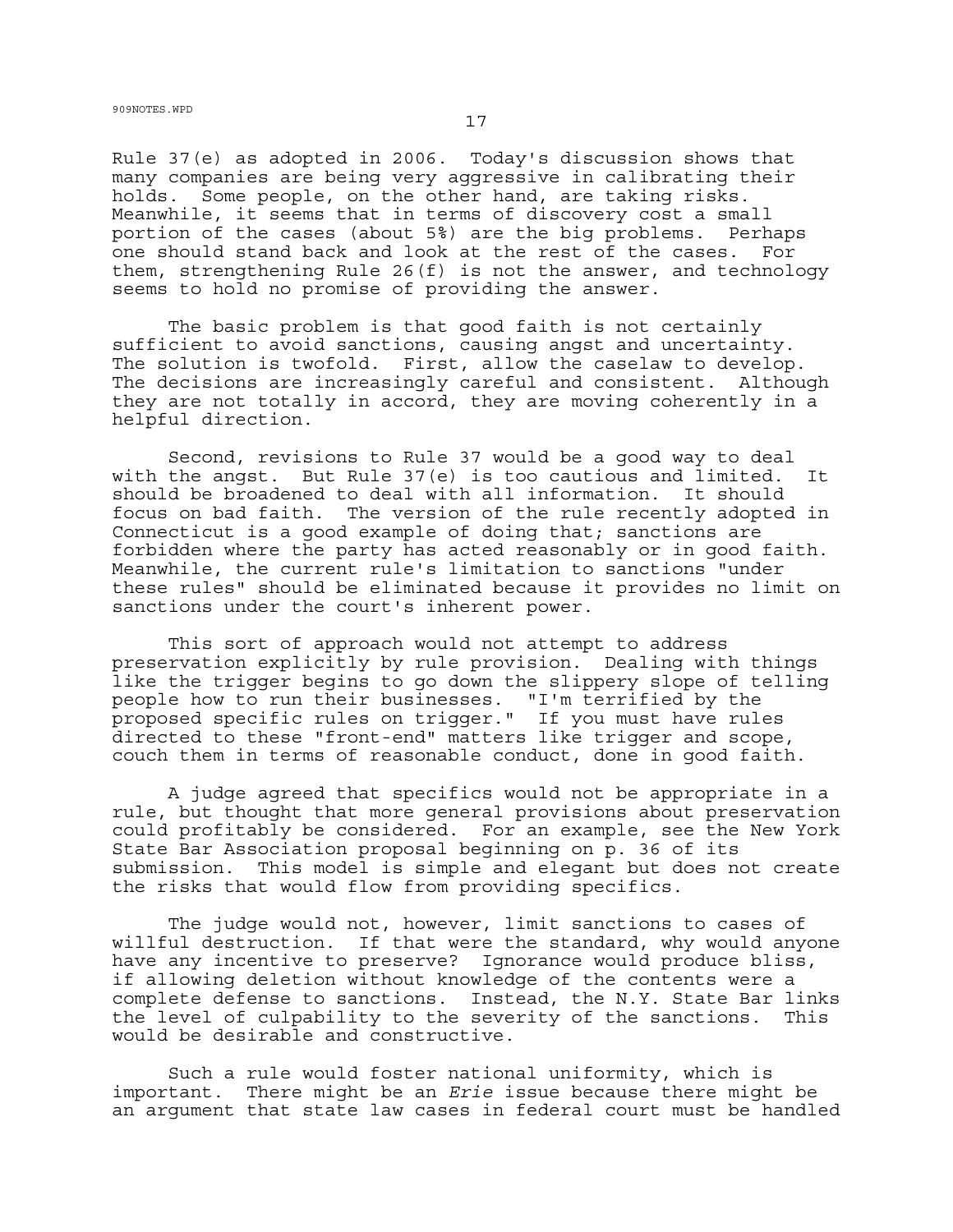Rule 37(e) as adopted in 2006. Today's discussion shows that many companies are being very aggressive in calibrating their holds. Some people, on the other hand, are taking risks. Meanwhile, it seems that in terms of discovery cost a small portion of the cases (about 5%) are the big problems. Perhaps one should stand back and look at the rest of the cases. For them, strengthening Rule 26(f) is not the answer, and technology seems to hold no promise of providing the answer.

The basic problem is that good faith is not certainly sufficient to avoid sanctions, causing angst and uncertainty. The solution is twofold. First, allow the caselaw to develop. The decisions are increasingly careful and consistent. Although they are not totally in accord, they are moving coherently in a helpful direction.

Second, revisions to Rule 37 would be a good way to deal with the angst. But Rule 37(e) is too cautious and limited. It should be broadened to deal with all information. It should focus on bad faith. The version of the rule recently adopted in Connecticut is a good example of doing that; sanctions are forbidden where the party has acted reasonably or in good faith. Meanwhile, the current rule's limitation to sanctions "under these rules" should be eliminated because it provides no limit on sanctions under the court's inherent power.

This sort of approach would not attempt to address preservation explicitly by rule provision. Dealing with things like the trigger begins to go down the slippery slope of telling people how to run their businesses. "I'm terrified by the proposed specific rules on trigger." If you must have rules directed to these "front-end" matters like trigger and scope, couch them in terms of reasonable conduct, done in good faith.

A judge agreed that specifics would not be appropriate in a rule, but thought that more general provisions about preservation could profitably be considered. For an example, see the New York State Bar Association proposal beginning on p. 36 of its submission. This model is simple and elegant but does not create the risks that would flow from providing specifics.

The judge would not, however, limit sanctions to cases of willful destruction. If that were the standard, why would anyone have any incentive to preserve? Ignorance would produce bliss, if allowing deletion without knowledge of the contents were a complete defense to sanctions. Instead, the N.Y. State Bar links the level of culpability to the severity of the sanctions. This would be desirable and constructive.

Such a rule would foster national uniformity, which is important. There might be an *Erie* issue because there might be an argument that state law cases in federal court must be handled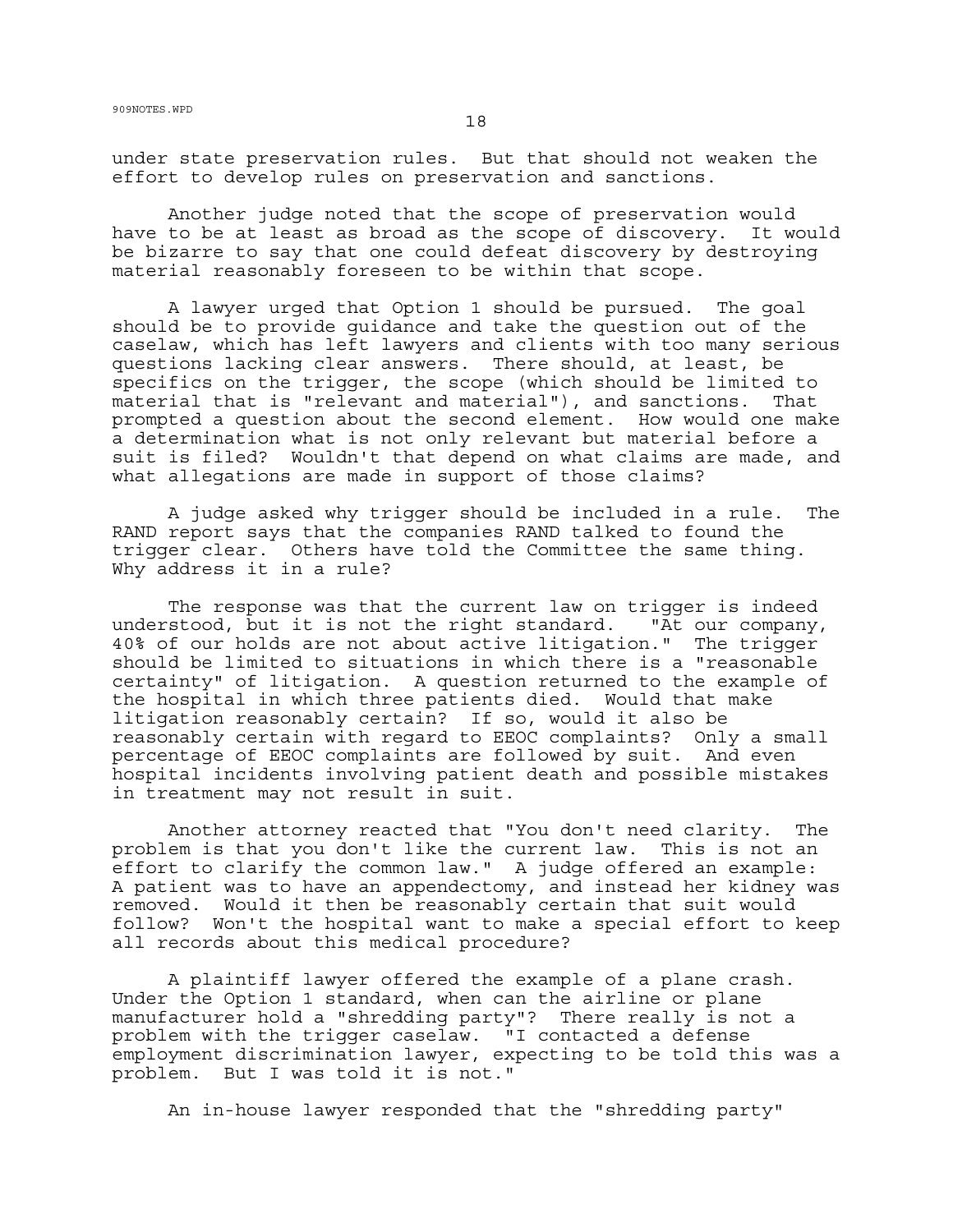under state preservation rules. But that should not weaken the effort to develop rules on preservation and sanctions.

Another judge noted that the scope of preservation would have to be at least as broad as the scope of discovery. It would be bizarre to say that one could defeat discovery by destroying material reasonably foreseen to be within that scope.

A lawyer urged that Option 1 should be pursued. The goal should be to provide guidance and take the question out of the caselaw, which has left lawyers and clients with too many serious questions lacking clear answers. There should, at least, be specifics on the trigger, the scope (which should be limited to material that is "relevant and material"), and sanctions. That prompted a question about the second element. How would one make a determination what is not only relevant but material before a suit is filed? Wouldn't that depend on what claims are made, and what allegations are made in support of those claims?

A judge asked why trigger should be included in a rule. The RAND report says that the companies RAND talked to found the trigger clear. Others have told the Committee the same thing. Why address it in a rule?

The response was that the current law on trigger is indeed understood, but it is not the right standard. "At our company, 40% of our holds are not about active litigation." The trigger should be limited to situations in which there is a "reasonable certainty" of litigation. A question returned to the example of the hospital in which three patients died. Would that make litigation reasonably certain? If so, would it also be reasonably certain with regard to EEOC complaints? Only a small percentage of EEOC complaints are followed by suit. And even hospital incidents involving patient death and possible mistakes in treatment may not result in suit.

Another attorney reacted that "You don't need clarity. The problem is that you don't like the current law. This is not an effort to clarify the common law." A judge offered an example: A patient was to have an appendectomy, and instead her kidney was removed. Would it then be reasonably certain that suit would follow? Won't the hospital want to make a special effort to keep all records about this medical procedure?

A plaintiff lawyer offered the example of a plane crash. Under the Option 1 standard, when can the airline or plane manufacturer hold a "shredding party"? There really is not a problem with the trigger caselaw. "I contacted a defense employment discrimination lawyer, expecting to be told this was a problem. But I was told it is not."

An in-house lawyer responded that the "shredding party"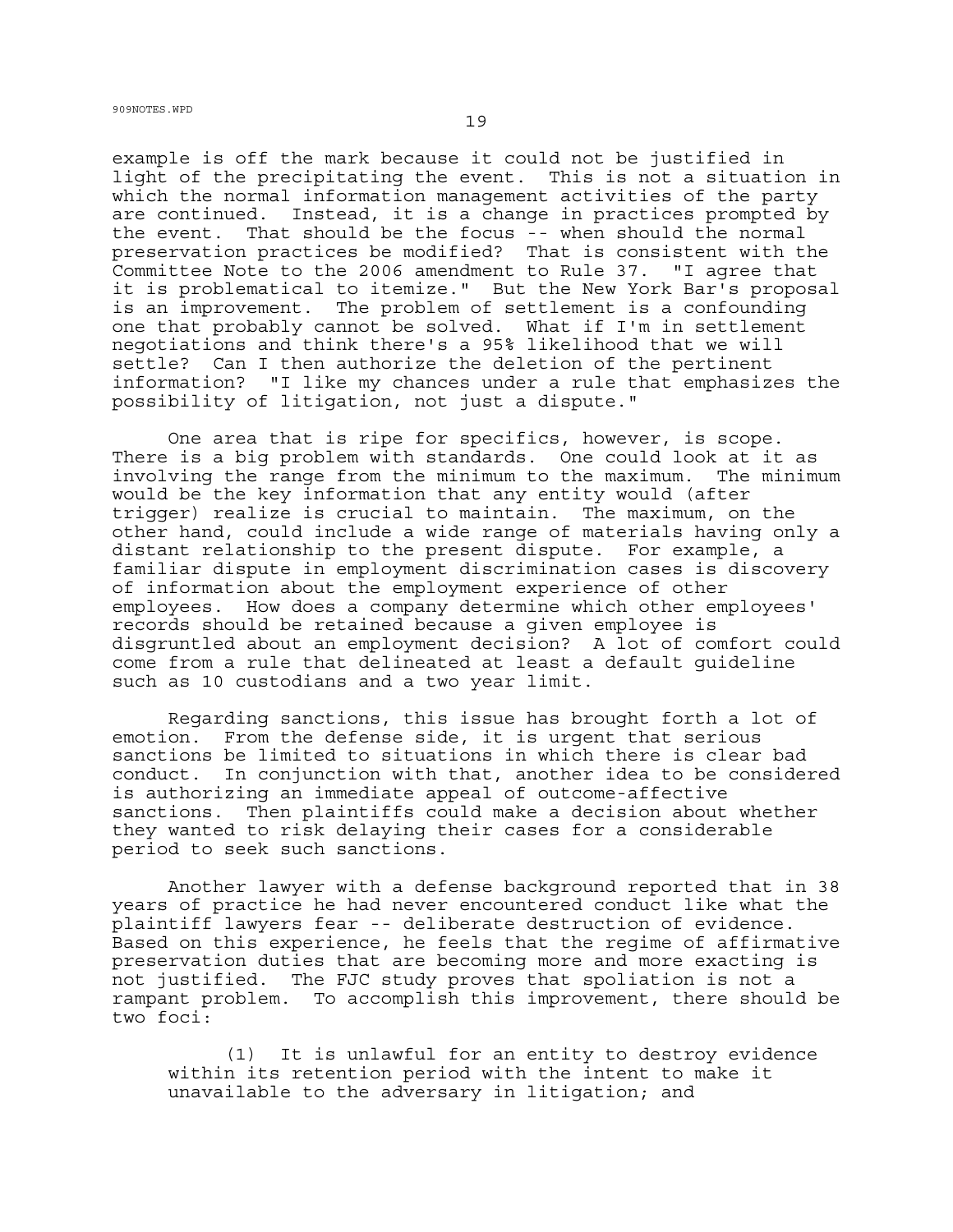example is off the mark because it could not be justified in light of the precipitating the event. This is not a situation in which the normal information management activities of the party are continued. Instead, it is a change in practices prompted by the event. That should be the focus -- when should the normal preservation practices be modified? That is consistent with the Committee Note to the 2006 amendment to Rule 37. "I agree that it is problematical to itemize." But the New York Bar's proposal is an improvement. The problem of settlement is a confounding one that probably cannot be solved. What if I'm in settlement negotiations and think there's a 95% likelihood that we will settle? Can I then authorize the deletion of the pertinent information? "I like my chances under a rule that emphasizes the possibility of litigation, not just a dispute."

One area that is ripe for specifics, however, is scope. There is a big problem with standards. One could look at it as involving the range from the minimum to the maximum. The minimum would be the key information that any entity would (after trigger) realize is crucial to maintain. The maximum, on the other hand, could include a wide range of materials having only a distant relationship to the present dispute. For example, a familiar dispute in employment discrimination cases is discovery of information about the employment experience of other employees. How does a company determine which other employees' records should be retained because a given employee is disgruntled about an employment decision? A lot of comfort could come from a rule that delineated at least a default guideline such as 10 custodians and a two year limit.

Regarding sanctions, this issue has brought forth a lot of emotion. From the defense side, it is urgent that serious sanctions be limited to situations in which there is clear bad conduct. In conjunction with that, another idea to be considered is authorizing an immediate appeal of outcome-affective sanctions. Then plaintiffs could make a decision about whether they wanted to risk delaying their cases for a considerable period to seek such sanctions.

Another lawyer with a defense background reported that in 38 years of practice he had never encountered conduct like what the plaintiff lawyers fear -- deliberate destruction of evidence. Based on this experience, he feels that the regime of affirmative preservation duties that are becoming more and more exacting is not justified. The FJC study proves that spoliation is not a rampant problem. To accomplish this improvement, there should be two foci:

(1) It is unlawful for an entity to destroy evidence within its retention period with the intent to make it unavailable to the adversary in litigation; and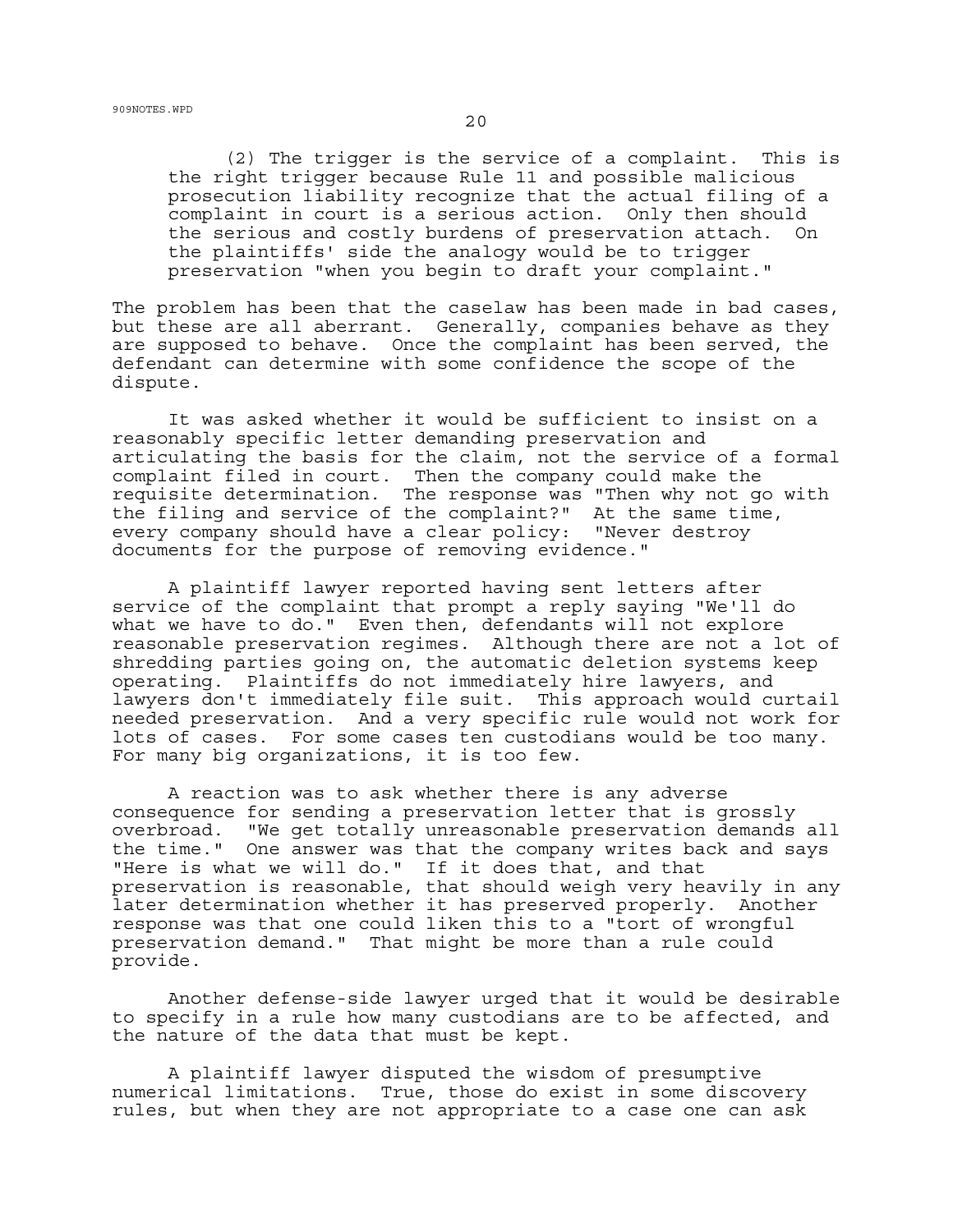(2) The trigger is the service of a complaint. This is the right trigger because Rule 11 and possible malicious prosecution liability recognize that the actual filing of a complaint in court is a serious action. Only then should the serious and costly burdens of preservation attach. On the plaintiffs' side the analogy would be to trigger preservation "when you begin to draft your complaint."

The problem has been that the caselaw has been made in bad cases, but these are all aberrant. Generally, companies behave as they are supposed to behave. Once the complaint has been served, the defendant can determine with some confidence the scope of the dispute.

It was asked whether it would be sufficient to insist on a reasonably specific letter demanding preservation and articulating the basis for the claim, not the service of a formal complaint filed in court. Then the company could make the requisite determination. The response was "Then why not go with the filing and service of the complaint?" At the same time, every company should have a clear policy: "Never destroy documents for the purpose of removing evidence."

A plaintiff lawyer reported having sent letters after service of the complaint that prompt a reply saying "We'll do what we have to do." Even then, defendants will not explore reasonable preservation regimes. Although there are not a lot of shredding parties going on, the automatic deletion systems keep operating. Plaintiffs do not immediately hire lawyers, and lawyers don't immediately file suit. This approach would curtail needed preservation. And a very specific rule would not work for lots of cases. For some cases ten custodians would be too many. For many big organizations, it is too few.

A reaction was to ask whether there is any adverse consequence for sending a preservation letter that is grossly overbroad. "We get totally unreasonable preservation demands all the time." One answer was that the company writes back and says "Here is what we will do." If it does that, and that preservation is reasonable, that should weigh very heavily in any later determination whether it has preserved properly. Another response was that one could liken this to a "tort of wrongful preservation demand." That might be more than a rule could provide.

Another defense-side lawyer urged that it would be desirable to specify in a rule how many custodians are to be affected, and the nature of the data that must be kept.

A plaintiff lawyer disputed the wisdom of presumptive numerical limitations. True, those do exist in some discovery rules, but when they are not appropriate to a case one can ask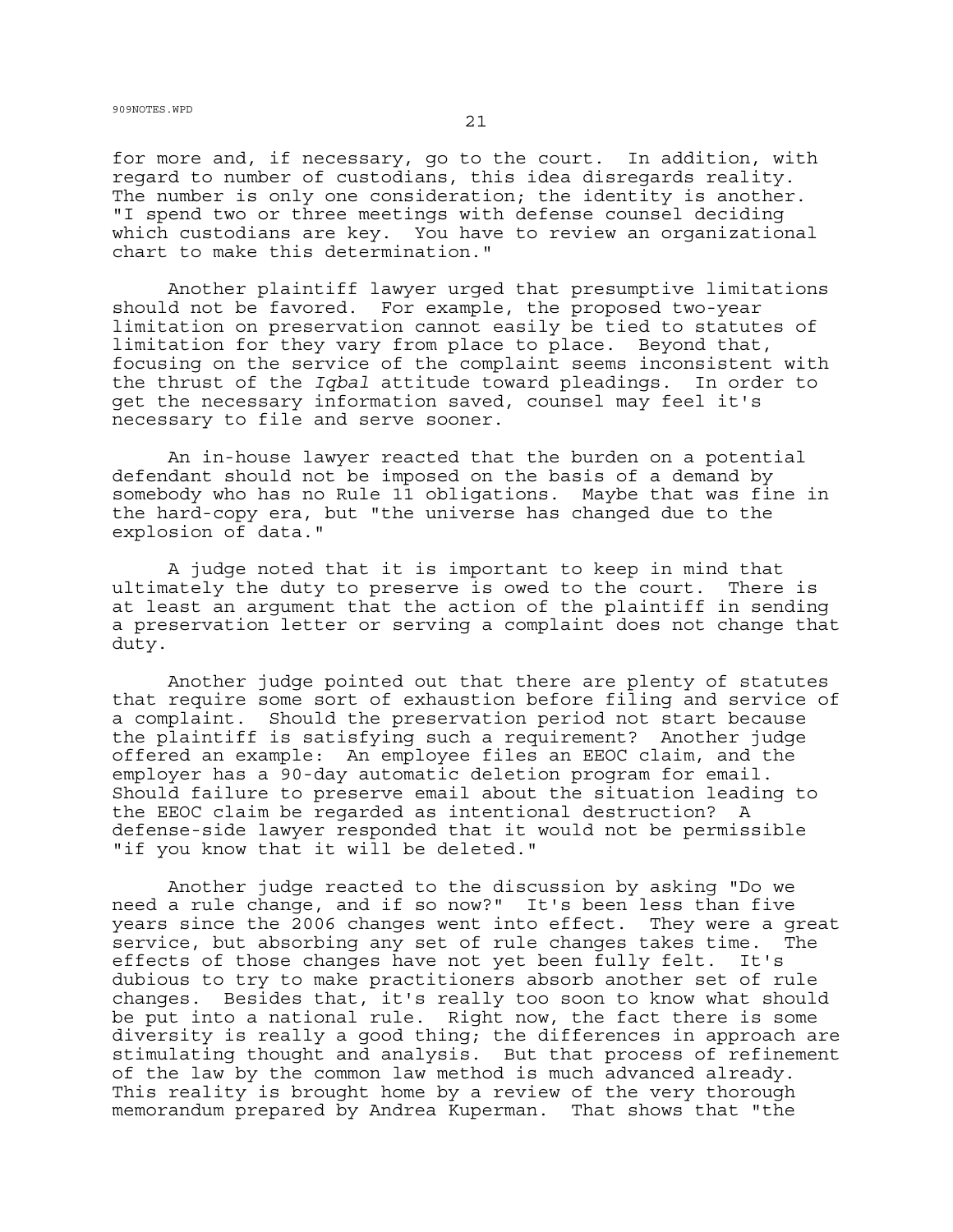909NOTES.WPD  $21$ 

for more and, if necessary, go to the court. In addition, with regard to number of custodians, this idea disregards reality. The number is only one consideration; the identity is another. "I spend two or three meetings with defense counsel deciding which custodians are key. You have to review an organizational chart to make this determination."

Another plaintiff lawyer urged that presumptive limitations should not be favored. For example, the proposed two-year limitation on preservation cannot easily be tied to statutes of limitation for they vary from place to place. Beyond that, focusing on the service of the complaint seems inconsistent with the thrust of the *Iqbal* attitude toward pleadings. In order to get the necessary information saved, counsel may feel it's necessary to file and serve sooner.

An in-house lawyer reacted that the burden on a potential defendant should not be imposed on the basis of a demand by somebody who has no Rule 11 obligations. Maybe that was fine in the hard-copy era, but "the universe has changed due to the explosion of data."

A judge noted that it is important to keep in mind that ultimately the duty to preserve is owed to the court. There is at least an argument that the action of the plaintiff in sending a preservation letter or serving a complaint does not change that duty.

Another judge pointed out that there are plenty of statutes that require some sort of exhaustion before filing and service of a complaint. Should the preservation period not start because the plaintiff is satisfying such a requirement? Another judge offered an example: An employee files an EEOC claim, and the employer has a 90-day automatic deletion program for email. Should failure to preserve email about the situation leading to the EEOC claim be regarded as intentional destruction? A defense-side lawyer responded that it would not be permissible "if you know that it will be deleted."

Another judge reacted to the discussion by asking "Do we need a rule change, and if so now?" It's been less than five years since the 2006 changes went into effect. They were a great service, but absorbing any set of rule changes takes time. The effects of those changes have not yet been fully felt. It's dubious to try to make practitioners absorb another set of rule changes. Besides that, it's really too soon to know what should be put into a national rule. Right now, the fact there is some diversity is really a good thing; the differences in approach are stimulating thought and analysis. But that process of refinement of the law by the common law method is much advanced already. This reality is brought home by a review of the very thorough memorandum prepared by Andrea Kuperman. That shows that "the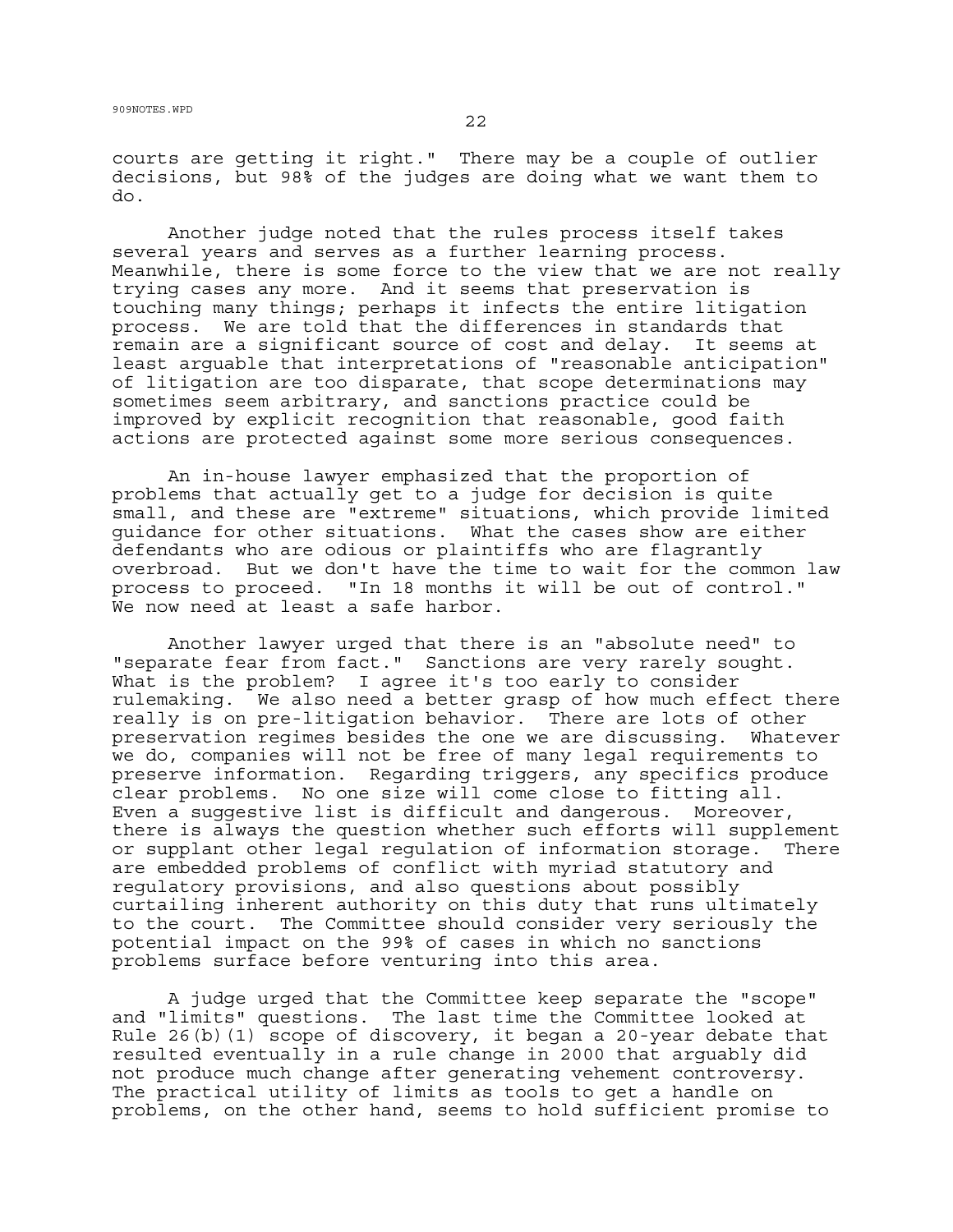courts are getting it right." There may be a couple of outlier decisions, but 98% of the judges are doing what we want them to do.

Another judge noted that the rules process itself takes several years and serves as a further learning process. Meanwhile, there is some force to the view that we are not really trying cases any more. And it seems that preservation is touching many things; perhaps it infects the entire litigation process. We are told that the differences in standards that remain are a significant source of cost and delay. It seems at least arguable that interpretations of "reasonable anticipation" of litigation are too disparate, that scope determinations may sometimes seem arbitrary, and sanctions practice could be improved by explicit recognition that reasonable, good faith actions are protected against some more serious consequences.

An in-house lawyer emphasized that the proportion of problems that actually get to a judge for decision is quite small, and these are "extreme" situations, which provide limited guidance for other situations. What the cases show are either defendants who are odious or plaintiffs who are flagrantly overbroad. But we don't have the time to wait for the common law process to proceed. "In 18 months it will be out of control." We now need at least a safe harbor.

Another lawyer urged that there is an "absolute need" to "separate fear from fact." Sanctions are very rarely sought. What is the problem? I agree it's too early to consider rulemaking. We also need a better grasp of how much effect there really is on pre-litigation behavior. There are lots of other preservation regimes besides the one we are discussing. Whatever we do, companies will not be free of many legal requirements to preserve information. Regarding triggers, any specifics produce clear problems. No one size will come close to fitting all. Even a suggestive list is difficult and dangerous. Moreover, there is always the question whether such efforts will supplement or supplant other legal regulation of information storage. There are embedded problems of conflict with myriad statutory and regulatory provisions, and also questions about possibly curtailing inherent authority on this duty that runs ultimately to the court. The Committee should consider very seriously the potential impact on the 99% of cases in which no sanctions problems surface before venturing into this area.

A judge urged that the Committee keep separate the "scope" and "limits" questions. The last time the Committee looked at Rule 26(b)(1) scope of discovery, it began a 20-year debate that resulted eventually in a rule change in 2000 that arguably did not produce much change after generating vehement controversy. The practical utility of limits as tools to get a handle on problems, on the other hand, seems to hold sufficient promise to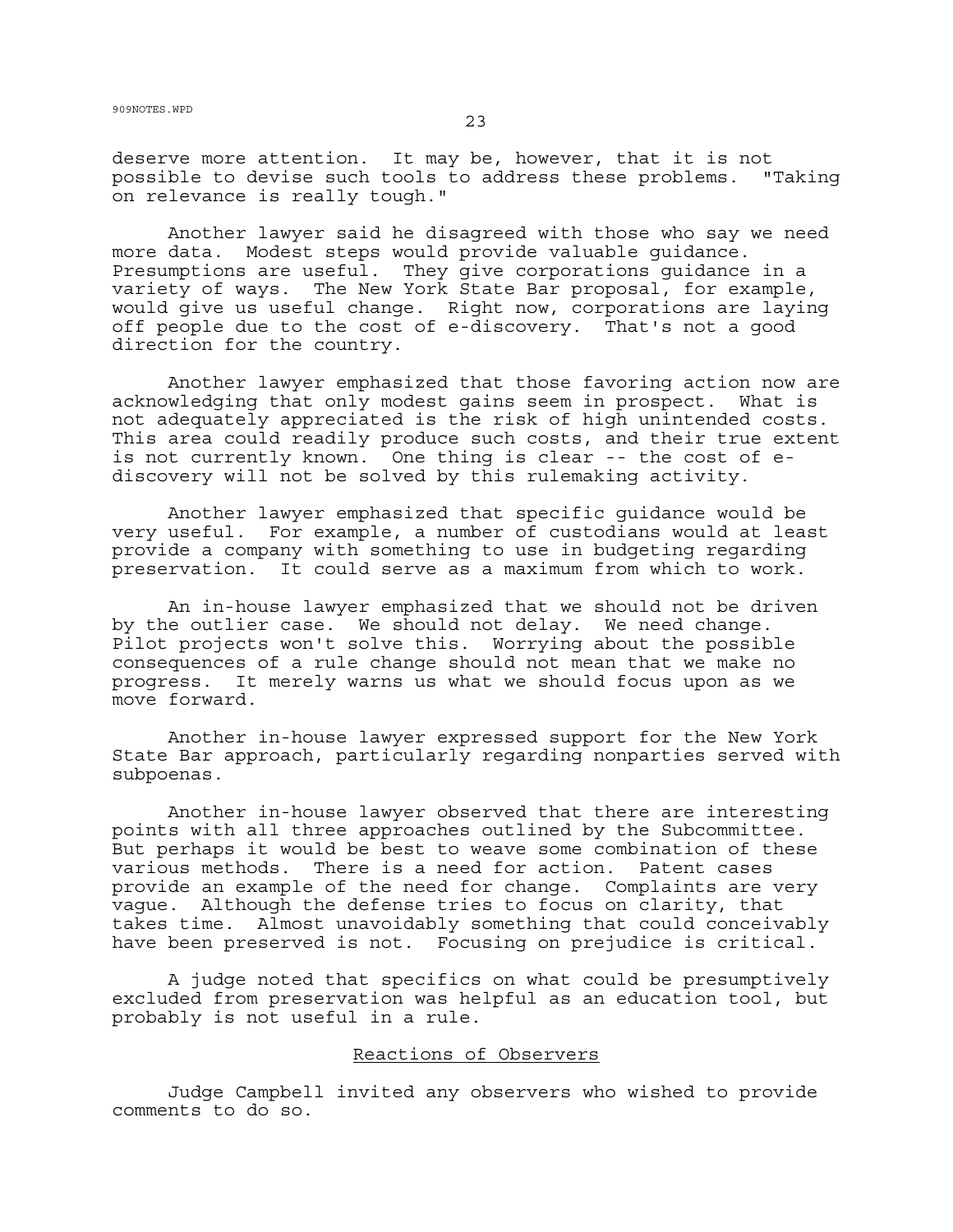deserve more attention. It may be, however, that it is not possible to devise such tools to address these problems. "Taking on relevance is really tough."

Another lawyer said he disagreed with those who say we need more data. Modest steps would provide valuable guidance. Presumptions are useful. They give corporations guidance in a variety of ways. The New York State Bar proposal, for example, would give us useful change. Right now, corporations are laying off people due to the cost of e-discovery. That's not a good direction for the country.

Another lawyer emphasized that those favoring action now are acknowledging that only modest gains seem in prospect. What is not adequately appreciated is the risk of high unintended costs. This area could readily produce such costs, and their true extent is not currently known. One thing is clear -- the cost of ediscovery will not be solved by this rulemaking activity.

Another lawyer emphasized that specific guidance would be very useful. For example, a number of custodians would at least provide a company with something to use in budgeting regarding preservation. It could serve as a maximum from which to work.

An in-house lawyer emphasized that we should not be driven by the outlier case. We should not delay. We need change. Pilot projects won't solve this. Worrying about the possible consequences of a rule change should not mean that we make no progress. It merely warns us what we should focus upon as we move forward.

Another in-house lawyer expressed support for the New York State Bar approach, particularly regarding nonparties served with subpoenas.

Another in-house lawyer observed that there are interesting points with all three approaches outlined by the Subcommittee. But perhaps it would be best to weave some combination of these various methods. There is a need for action. Patent cases provide an example of the need for change. Complaints are very vague. Although the defense tries to focus on clarity, that takes time. Almost unavoidably something that could conceivably have been preserved is not. Focusing on prejudice is critical.

A judge noted that specifics on what could be presumptively excluded from preservation was helpful as an education tool, but probably is not useful in a rule.

## Reactions of Observers

Judge Campbell invited any observers who wished to provide comments to do so.